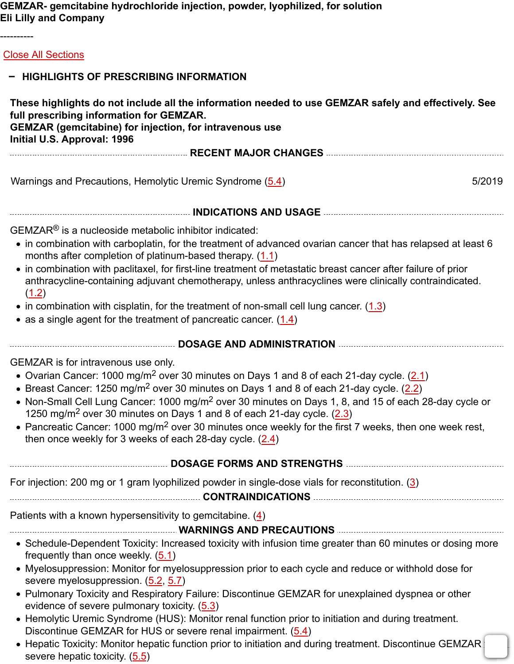**GEMZAR- gemcitabine hydrochloride injection, powder, lyophilized, for solution Eli Lilly and Company**

| <b>Close All Sections</b>                                                                                                                                                                                                                                                                                                                                                                                                                                                                                                                                                                                                                           |        |
|-----------------------------------------------------------------------------------------------------------------------------------------------------------------------------------------------------------------------------------------------------------------------------------------------------------------------------------------------------------------------------------------------------------------------------------------------------------------------------------------------------------------------------------------------------------------------------------------------------------------------------------------------------|--------|
| <b>HIGHLIGHTS OF PRESCRIBING INFORMATION</b>                                                                                                                                                                                                                                                                                                                                                                                                                                                                                                                                                                                                        |        |
| These highlights do not include all the information needed to use GEMZAR safely and effectively. See<br>full prescribing information for GEMZAR.<br><b>GEMZAR</b> (gemcitabine) for injection, for intravenous use<br>Initial U.S. Approval: 1996                                                                                                                                                                                                                                                                                                                                                                                                   |        |
|                                                                                                                                                                                                                                                                                                                                                                                                                                                                                                                                                                                                                                                     |        |
| Warnings and Precautions, Hemolytic Uremic Syndrome (5.4)                                                                                                                                                                                                                                                                                                                                                                                                                                                                                                                                                                                           | 5/2019 |
|                                                                                                                                                                                                                                                                                                                                                                                                                                                                                                                                                                                                                                                     |        |
| $GEMZAR®$ is a nucleoside metabolic inhibitor indicated:                                                                                                                                                                                                                                                                                                                                                                                                                                                                                                                                                                                            |        |
| • in combination with carboplatin, for the treatment of advanced ovarian cancer that has relapsed at least 6<br>months after completion of platinum-based therapy. (1.1)                                                                                                                                                                                                                                                                                                                                                                                                                                                                            |        |
| • in combination with paclitaxel, for first-line treatment of metastatic breast cancer after failure of prior<br>anthracycline-containing adjuvant chemotherapy, unless anthracyclines were clinically contraindicated.<br>(1.2)                                                                                                                                                                                                                                                                                                                                                                                                                    |        |
| • in combination with cisplatin, for the treatment of non-small cell lung cancer. $(1.3)$<br>• as a single agent for the treatment of pancreatic cancer. $(1.4)$                                                                                                                                                                                                                                                                                                                                                                                                                                                                                    |        |
|                                                                                                                                                                                                                                                                                                                                                                                                                                                                                                                                                                                                                                                     |        |
| GEMZAR is for intravenous use only.<br>• Ovarian Cancer: 1000 mg/m <sup>2</sup> over 30 minutes on Days 1 and 8 of each 21-day cycle. $(2.1)$<br>• Breast Cancer: 1250 mg/m <sup>2</sup> over 30 minutes on Days 1 and 8 of each 21-day cycle. (2.2)<br>• Non-Small Cell Lung Cancer: 1000 mg/m <sup>2</sup> over 30 minutes on Days 1, 8, and 15 of each 28-day cycle or<br>1250 mg/m <sup>2</sup> over 30 minutes on Days 1 and 8 of each 21-day cycle. $(2.3)$<br>• Pancreatic Cancer: 1000 mg/m <sup>2</sup> over 30 minutes once weekly for the first 7 weeks, then one week rest,<br>then once weekly for 3 weeks of each 28-day cycle. (2.4) |        |
|                                                                                                                                                                                                                                                                                                                                                                                                                                                                                                                                                                                                                                                     |        |
| For injection: 200 mg or 1 gram lyophilized powder in single-dose vials for reconstitution. (3)                                                                                                                                                                                                                                                                                                                                                                                                                                                                                                                                                     |        |
| Patients with a known hypersensitivity to gemcitabine. $(4)$                                                                                                                                                                                                                                                                                                                                                                                                                                                                                                                                                                                        |        |
|                                                                                                                                                                                                                                                                                                                                                                                                                                                                                                                                                                                                                                                     |        |
| • Schedule-Dependent Toxicity: Increased toxicity with infusion time greater than 60 minutes or dosing more<br>frequently than once weekly. $(5.1)$                                                                                                                                                                                                                                                                                                                                                                                                                                                                                                 |        |
| • Myelosuppression: Monitor for myelosuppression prior to each cycle and reduce or withhold dose for<br>severe myelosuppression. (5.2, 5.7)<br>• Pulmonary Toxicity and Respiratory Failure: Discontinue GEMZAR for unexplained dyspnea or other                                                                                                                                                                                                                                                                                                                                                                                                    |        |
| evidence of severe pulmonary toxicity. $(5.3)$<br>• Hemolytic Uremic Syndrome (HUS): Monitor renal function prior to initiation and during treatment.                                                                                                                                                                                                                                                                                                                                                                                                                                                                                               |        |
| Discontinue GEMZAR for HUS or severe renal impairment. (5.4)<br>• Hepatic Toxicity: Monitor hepatic function prior to initiation and during treatment. Discontinue GEMZAR<br>severe henatic toxicity (5.5)                                                                                                                                                                                                                                                                                                                                                                                                                                          |        |

severe hepatic toxicity. (5.5)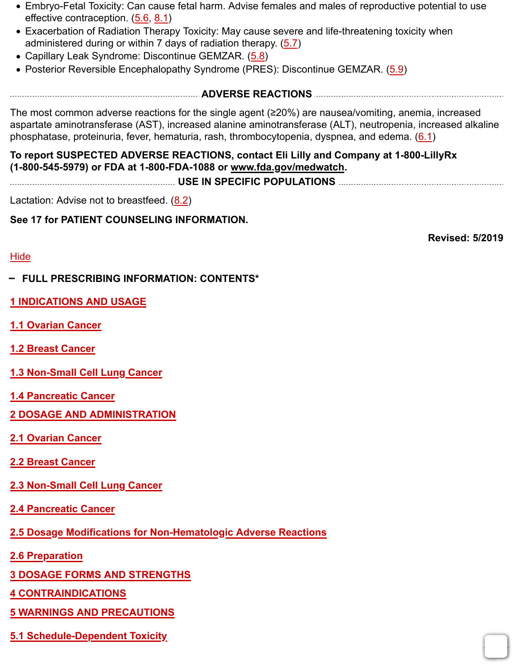- Embryo-Fetal Toxicity: Can cause fetal harm. Advise females and males of reproductive potential to use effective contraception. (5.6, 8.1)
- Exacerbation of Radiation Therapy Toxicity: May cause severe and life-threatening toxicity when administered during or within 7 days of radiation therapy.  $(5.7)$
- Capillary Leak Syndrome: Discontinue GEMZAR. (5.8)
- Posterior Reversible Encephalopathy Syndrome (PRES): Discontinue GEMZAR. (5.9)

#### **ADVERSE REACTIONS**

The most common adverse reactions for the single agent (≥20%) are nausea/vomiting, anemia, increased aspartate aminotransferase (AST), increased alanine aminotransferase (ALT), neutropenia, increased alkaline phosphatase, proteinuria, fever, hematuria, rash, thrombocytopenia, dyspnea, and edema. (6.1)

## **To report SUSPECTED ADVERSE REACTIONS, contact Eli Lilly and Company at 1-800-LillyRx (1-800-545-5979) or FDA at 1-800-FDA-1088 or www.fda.gov/medwatch.**

**USE IN SPECIFIC POPULATIONS**

Lactation: Advise not to breastfeed. (8.2)

# **See 17 for PATIENT COUNSELING INFORMATION.**

**Revised: 5/2019**

## **Hide**

# **- FULL PRESCRIBING INFORMATION: CONTENTS\***

## **1 INDICATIONS AND USAGE**

- **1.1 Ovarian Cancer**
- **1.2 Breast Cancer**
- **1.3 Non-Small Cell Lung Cancer**
- **1.4 Pancreatic Cancer**
- **2 DOSAGE AND ADMINISTRATION**
- **2.1 Ovarian Cancer**
- **2.2 Breast Cancer**
- **2.3 Non-Small Cell Lung Cancer**
- **2.4 Pancreatic Cancer**
- **2.5 Dosage Modifications for Non-Hematologic Adverse Reactions**
- **2.6 Preparation**
- **3 DOSAGE FORMS AND STRENGTHS**
- **4 CONTRAINDICATIONS**
- **5 WARNINGS AND PRECAUTIONS**
- **5.1 Schedule-Dependent Toxicity**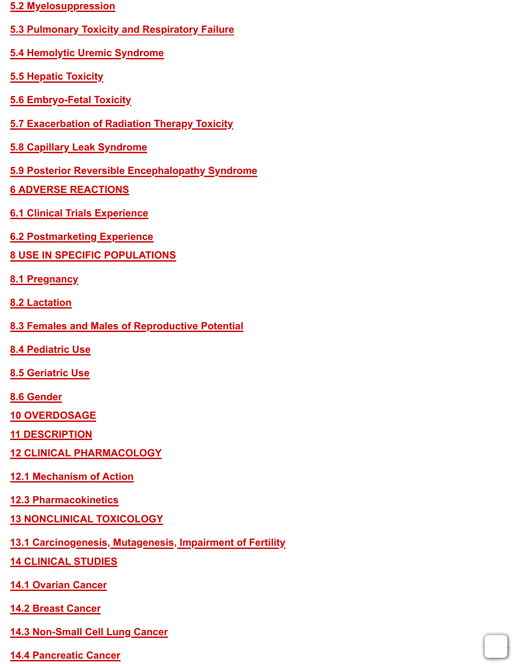## **5.2 Myelosuppression**

- **5.3 Pulmonary Toxicity and Respiratory Failure**
- **5.4 Hemolytic Uremic Syndrome**
- **5.5 Hepatic Toxicity**
- **5.6 Embryo-Fetal Toxicity**
- **5.7 Exacerbation of Radiation Therapy Toxicity**
- **5.8 Capillary Leak Syndrome**
- **5.9 Posterior Reversible Encephalopathy Syndrome**
- **6 ADVERSE REACTIONS**
- **6.1 Clinical Trials Experience**
- **6.2 Postmarketing Experience**
- **8 USE IN SPECIFIC POPULATIONS**
- **8.1 Pregnancy**
- **8.2 Lactation**
- **8.3 Females and Males of Reproductive Potential**
- **8.4 Pediatric Use**
- **8.5 Geriatric Use**
- **8.6 Gender**
- **10 OVERDOSAGE**
- **11 DESCRIPTION**
- **12 CLINICAL PHARMACOLOGY**
- **12.1 Mechanism of Action**
- **12.3 Pharmacokinetics**
- **13 NONCLINICAL TOXICOLOGY**
- **13.1 Carcinogenesis, Mutagenesis, Impairment of Fertility**
- **14 CLINICAL STUDIES**
- **14.1 Ovarian Cancer**
- **14.2 Breast Cancer**
- **14.3 Non-Small Cell Lung Cancer**
- **14.4 Pancreatic Cancer**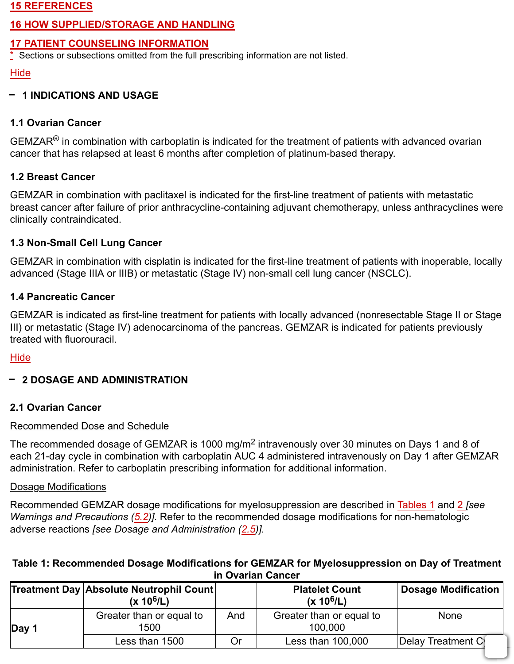#### **15 REFERENCES**

# **16 HOW SUPPLIED/STORAGE AND HANDLING**

# **17 PATIENT COUNSELING INFORMATION**

 $*$  Sections or subsections omitted from the full prescribing information are not listed.

# Hide

# **- 1 INDICATIONS AND USAGE**

# **1.1 Ovarian Cancer**

GEMZAR<sup>®</sup> in combination with carboplatin is indicated for the treatment of patients with advanced ovarian cancer that has relapsed at least 6 months after completion of platinum-based therapy.

# **1.2 Breast Cancer**

GEMZAR in combination with paclitaxel is indicated for the first-line treatment of patients with metastatic breast cancer after failure of prior anthracycline-containing adjuvant chemotherapy, unless anthracyclines were clinically contraindicated.

# **1.3 Non-Small Cell Lung Cancer**

GEMZAR in combination with cisplatin is indicated for the first-line treatment of patients with inoperable, locally advanced (Stage IIIA or IIIB) or metastatic (Stage IV) non-small cell lung cancer (NSCLC).

# **1.4 Pancreatic Cancer**

GEMZAR is indicated as first-line treatment for patients with locally advanced (nonresectable Stage II or Stage III) or metastatic (Stage IV) adenocarcinoma of the pancreas. GEMZAR is indicated for patients previously treated with fluorouracil.

### Hide

# **- 2 DOSAGE AND ADMINISTRATION**

# **2.1 Ovarian Cancer**

# Recommended Dose and Schedule

The recommended dosage of GEMZAR is 1000 mg/m<sup>2</sup> intravenously over 30 minutes on Days 1 and 8 of each 21-day cycle in combination with carboplatin AUC 4 administered intravenously on Day 1 after GEMZAR administration. Refer to carboplatin prescribing information for additional information.

# Dosage Modifications

Recommended GEMZAR dosage modifications for myelosuppression are described in Tables 1 and 2 *[see Warnings and Precautions (5.2)].* Refer to the recommended dosage modifications for non-hematologic adverse reactions *[see Dosage and Administration (2.5)].*

# **Table 1: Recommended Dosage Modifications for GEMZAR for Myelosuppression on Day of Treatment in Ovarian Cancer**

|       | Treatment Day Absolute Neutrophil Count<br>$(x 10^6/L)$ |     | <b>Platelet Count</b><br>$(x 10^6/L)$ | Dosage Modification |
|-------|---------------------------------------------------------|-----|---------------------------------------|---------------------|
| Day 1 | Greater than or equal to<br>1500                        | And | Greater than or equal to<br>100.000   | <b>None</b>         |
|       | Less than 1500                                          | Or  | Less than 100,000                     | Delay Treatment C   |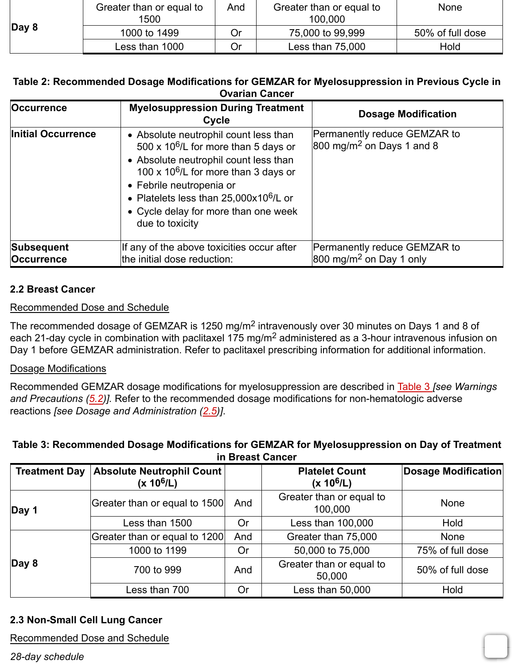| Day 8 | Greater than or equal to<br>1500 | And | Greater than or equal to<br>100,000 | <b>None</b>      |
|-------|----------------------------------|-----|-------------------------------------|------------------|
|       | 1000 to 1499                     | Or  | 75,000 to 99,999                    | 50% of full dose |
|       | Less than 1000                   | Or  | Less than 75,000                    | Hold             |

## **Table 2: Recommended Dosage Modifications for GEMZAR for Myelosuppression in Previous Cycle in Ovarian Cancer**

| <b>Occurrence</b>               | <b>Myelosuppression During Treatment</b><br>Cycle                                                                                                                                                                                                                                                                 | <b>Dosage Modification</b>                                           |
|---------------------------------|-------------------------------------------------------------------------------------------------------------------------------------------------------------------------------------------------------------------------------------------------------------------------------------------------------------------|----------------------------------------------------------------------|
| Initial Occurrence              | • Absolute neutrophil count less than<br>500 x 10 <sup>6</sup> /L for more than 5 days or<br>• Absolute neutrophil count less than<br>100 x 10 $6$ /L for more than 3 days or<br>• Febrile neutropenia or<br>• Platelets less than $25,000x10^6$ /L or<br>• Cycle delay for more than one week<br>due to toxicity | Permanently reduce GEMZAR to<br>$800 \text{ mg/m}^2$ on Days 1 and 8 |
| Subsequent<br><b>Occurrence</b> | If any of the above toxicities occur after<br>the initial dose reduction:                                                                                                                                                                                                                                         | Permanently reduce GEMZAR to<br>800 mg/m <sup>2</sup> on Day 1 only  |

### **2.2 Breast Cancer**

#### Recommended Dose and Schedule

The recommended dosage of GEMZAR is 1250 mg/m<sup>2</sup> intravenously over 30 minutes on Days 1 and 8 of each 21-day cycle in combination with paclitaxel 175 mg/m<sup>2</sup> administered as a 3-hour intravenous infusion on Day 1 before GEMZAR administration. Refer to paclitaxel prescribing information for additional information.

#### Dosage Modifications

Recommended GEMZAR dosage modifications for myelosuppression are described in Table 3 *[see Warnings and Precautions (5.2)].* Refer to the recommended dosage modifications for non-hematologic adverse reactions *[see Dosage and Administration (2.5)]*.

# **Table 3: Recommended Dosage Modifications for GEMZAR for Myelosuppression on Day of Treatment in Breast Cancer**

| <b>Treatment Day</b> | <b>Absolute Neutrophil Count</b><br>$(x 10^6/L)$ |           | <b>Platelet Count</b><br>$(x 10^6/L)$ | Dosage Modification |
|----------------------|--------------------------------------------------|-----------|---------------------------------------|---------------------|
| Day 1                | Greater than or equal to 1500<br>And             |           | Greater than or equal to<br>100,000   | <b>None</b>         |
|                      | Less than 1500                                   | <b>Or</b> | Less than 100,000                     | Hold                |
|                      | Greater than or equal to 1200                    | And       | Greater than 75,000                   | <b>None</b>         |
| Day 8                | 1000 to 1199                                     | <b>Or</b> | 50,000 to 75,000                      | 75% of full dose    |
|                      | 700 to 999<br>And                                |           | Greater than or equal to<br>50,000    | 50% of full dose    |
|                      | Less than 700                                    | Or        | Less than 50,000                      | Hold                |

#### **2.3 Non-Small Cell Lung Cancer**

Recommended Dose and Schedule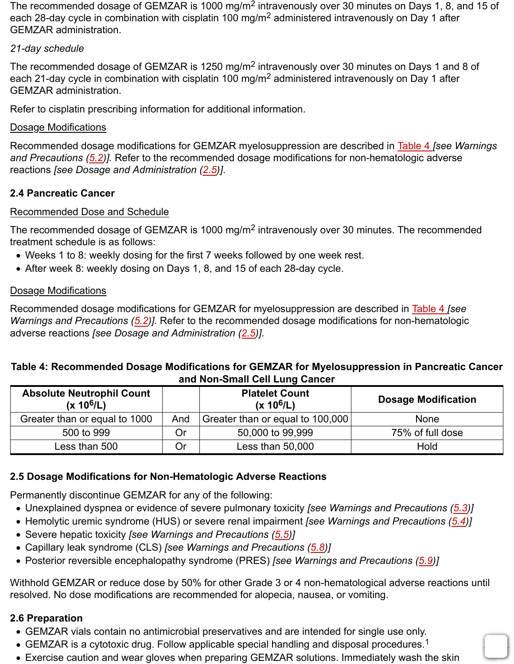The recommended dosage of GEMZAR is 1000 mg/m<sup>2</sup> intravenously over 30 minutes on Days 1, 8, and 15 of each 28-day cycle in combination with cisplatin 100 mg/m<sup>2</sup> administered intravenously on Day 1 after GEMZAR administration.

### *21-day schedule*

The recommended dosage of GEMZAR is 1250 mg/m<sup>2</sup> intravenously over 30 minutes on Days 1 and 8 of each 21-day cycle in combination with cisplatin 100 mg/m<sup>2</sup> administered intravenously on Day 1 after GEMZAR administration.

Refer to cisplatin prescribing information for additional information.

### Dosage Modifications

Recommended dosage modifications for GEMZAR myelosuppression are described in Table 4 *[see Warnings and Precautions (5.2)].* Refer to the recommended dosage modifications for non-hematologic adverse reactions *[see Dosage and Administration (2.5)]*.

## **2.4 Pancreatic Cancer**

## Recommended Dose and Schedule

The recommended dosage of GEMZAR is 1000 mg/m<sup>2</sup> intravenously over 30 minutes. The recommended treatment schedule is as follows:

- Weeks 1 to 8: weekly dosing for the first 7 weeks followed by one week rest.
- After week 8: weekly dosing on Days 1, 8, and 15 of each 28-day cycle.

#### Dosage Modifications

Recommended dosage modifications for GEMZAR for myelosuppression are described in Table 4 *[see Warnings and Precautions (5.2)].* Refer to the recommended dosage modifications for non-hematologic adverse reactions *[see Dosage and Administration (2.5)]*.

#### **Table 4: Recommended Dosage Modifications for GEMZAR for Myelosuppression in Pancreatic Cancer and Non-Small Cell Lung Cancer**

| <b>Absolute Neutrophil Count</b><br>$(x 10^6/L)$ |     | <b>Platelet Count</b><br>$(x 10^6/L)$ | <b>Dosage Modification</b> |
|--------------------------------------------------|-----|---------------------------------------|----------------------------|
| Greater than or equal to 1000                    | And | Greater than or equal to 100,000      | <b>None</b>                |
| 500 to 999                                       | Or  | 50,000 to 99,999                      | 75% of full dose           |
| Less than 500                                    | Or  | Less than $50,000$                    | <b>Hold</b>                |

## **2.5 Dosage Modifications for Non-Hematologic Adverse Reactions**

Permanently discontinue GEMZAR for any of the following:

- Unexplained dyspnea or evidence of severe pulmonary toxicity *[see Warnings and Precautions (5.3)]*
- Hemolytic uremic syndrome (HUS) or severe renal impairment *[see Warnings and Precautions (5.4)]*
- Severe hepatic toxicity *[see Warnings and Precautions (5.5)]*
- Capillary leak syndrome (CLS) *[see Warnings and Precautions (5.8)]*
- Posterior reversible encephalopathy syndrome (PRES) *[see Warnings and Precautions (5.9)]*

Withhold GEMZAR or reduce dose by 50% for other Grade 3 or 4 non-hematological adverse reactions until resolved. No dose modifications are recommended for alopecia, nausea, or vomiting.

## **2.6 Preparation**

- GEMZAR vials contain no antimicrobial preservatives and are intended for single use only.
- GEMZAR is a cytotoxic drug. Follow applicable special handling and disposal procedures.<sup>1</sup>
- Exercise caution and wear gloves when preparing GEMZAR solutions. Immediately wash the skin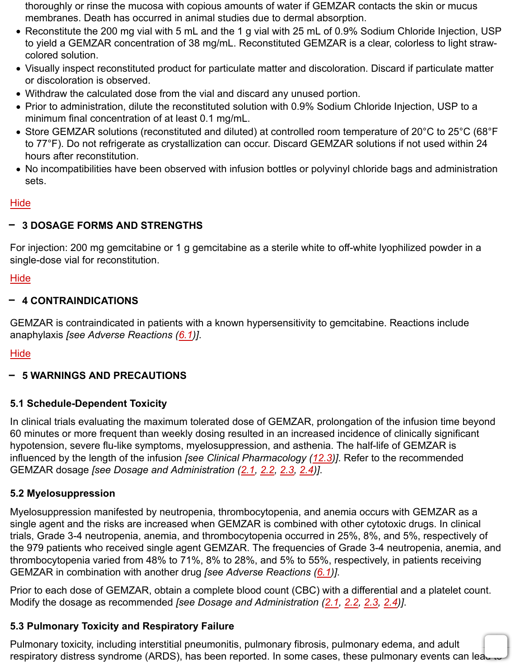thoroughly or rinse the mucosa with copious amounts of water if GEMZAR contacts the skin or mucus membranes. Death has occurred in animal studies due to dermal absorption.

- Reconstitute the 200 mg vial with 5 mL and the 1 g vial with 25 mL of 0.9% Sodium Chloride Injection, USP to yield a GEMZAR concentration of 38 mg/mL. Reconstituted GEMZAR is a clear, colorless to light strawcolored solution.
- Visually inspect reconstituted product for particulate matter and discoloration. Discard if particulate matter or discoloration is observed.
- Withdraw the calculated dose from the vial and discard any unused portion.
- Prior to administration, dilute the reconstituted solution with 0.9% Sodium Chloride Injection, USP to a minimum final concentration of at least 0.1 mg/mL.
- Store GEMZAR solutions (reconstituted and diluted) at controlled room temperature of 20°C to 25°C (68°F to 77°F). Do not refrigerate as crystallization can occur. Discard GEMZAR solutions if not used within 24 hours after reconstitution.
- No incompatibilities have been observed with infusion bottles or polyvinyl chloride bags and administration sets.

## Hide

# **- 3 DOSAGE FORMS AND STRENGTHS**

For injection: 200 mg gemcitabine or 1 g gemcitabine as a sterile white to off-white lyophilized powder in a single-dose vial for reconstitution.

## Hide

## **- 4 CONTRAINDICATIONS**

GEMZAR is contraindicated in patients with a known hypersensitivity to gemcitabine. Reactions include anaphylaxis *[see Adverse Reactions (6.1)]*.

## **Hide**

## **- 5 WARNINGS AND PRECAUTIONS**

### **5.1 Schedule-Dependent Toxicity**

In clinical trials evaluating the maximum tolerated dose of GEMZAR, prolongation of the infusion time beyond 60 minutes or more frequent than weekly dosing resulted in an increased incidence of clinically significant hypotension, severe flu-like symptoms, myelosuppression, and asthenia. The half-life of GEMZAR is influenced by the length of the infusion *[see Clinical Pharmacology (12.3)]*. Refer to the recommended GEMZAR dosage *[see Dosage and Administration (2.1, 2.2, 2.3, 2.4)]*.

## **5.2 Myelosuppression**

Myelosuppression manifested by neutropenia, thrombocytopenia, and anemia occurs with GEMZAR as a single agent and the risks are increased when GEMZAR is combined with other cytotoxic drugs. In clinical trials, Grade 3-4 neutropenia, anemia, and thrombocytopenia occurred in 25%, 8%, and 5%, respectively of the 979 patients who received single agent GEMZAR. The frequencies of Grade 3-4 neutropenia, anemia, and thrombocytopenia varied from 48% to 71%, 8% to 28%, and 5% to 55%, respectively, in patients receiving GEMZAR in combination with another drug *[see Adverse Reactions (6.1)]*.

Prior to each dose of GEMZAR, obtain a complete blood count (CBC) with a differential and a platelet count. Modify the dosage as recommended *[see Dosage and Administration (2.1, 2.2, 2.3, 2.4)]*.

## **5.3 Pulmonary Toxicity and Respiratory Failure**

Pulmonary toxicity, including interstitial pneumonitis, pulmonary fibrosis, pulmonary edema, and adult respiratory distress syndrome (ARDS), has been reported. In some cases, these pulmonary events can lead to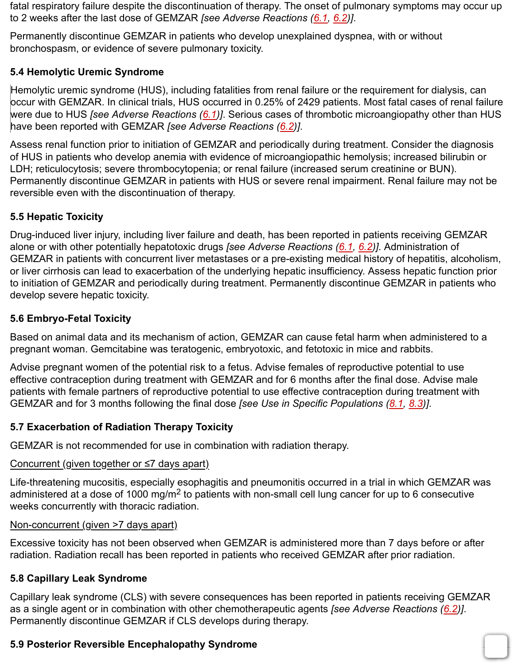fatal respiratory failure despite the discontinuation of therapy. The onset of pulmonary symptoms may occur up to 2 weeks after the last dose of GEMZAR *[see Adverse Reactions (6.1, 6.2)]*.

Permanently discontinue GEMZAR in patients who develop unexplained dyspnea, with or without bronchospasm, or evidence of severe pulmonary toxicity.

# **5.4 Hemolytic Uremic Syndrome**

Hemolytic uremic syndrome (HUS), including fatalities from renal failure or the requirement for dialysis, can occur with GEMZAR. In clinical trials, HUS occurred in 0.25% of 2429 patients. Most fatal cases of renal failure were due to HUS *[see Adverse Reactions (6.1)]*. Serious cases of thrombotic microangiopathy other than HUS have been reported with GEMZAR *[see Adverse Reactions (6.2)]*.

Assess renal function prior to initiation of GEMZAR and periodically during treatment. Consider the diagnosis of HUS in patients who develop anemia with evidence of microangiopathic hemolysis; increased bilirubin or LDH; reticulocytosis; severe thrombocytopenia; or renal failure (increased serum creatinine or BUN). Permanently discontinue GEMZAR in patients with HUS or severe renal impairment. Renal failure may not be reversible even with the discontinuation of therapy.

# **5.5 Hepatic Toxicity**

Drug-induced liver injury, including liver failure and death, has been reported in patients receiving GEMZAR alone or with other potentially hepatotoxic drugs *[see Adverse Reactions (6.1, 6.2)]*. Administration of GEMZAR in patients with concurrent liver metastases or a pre-existing medical history of hepatitis, alcoholism, or liver cirrhosis can lead to exacerbation of the underlying hepatic insufficiency. Assess hepatic function prior to initiation of GEMZAR and periodically during treatment. Permanently discontinue GEMZAR in patients who develop severe hepatic toxicity.

## **5.6 Embryo-Fetal Toxicity**

Based on animal data and its mechanism of action, GEMZAR can cause fetal harm when administered to a pregnant woman. Gemcitabine was teratogenic, embryotoxic, and fetotoxic in mice and rabbits.

Advise pregnant women of the potential risk to a fetus. Advise females of reproductive potential to use effective contraception during treatment with GEMZAR and for 6 months after the final dose. Advise male patients with female partners of reproductive potential to use effective contraception during treatment with GEMZAR and for 3 months following the final dose *[see Use in Specific Populations (8.1, 8.3)]*.

## **5.7 Exacerbation of Radiation Therapy Toxicity**

GEMZAR is not recommended for use in combination with radiation therapy.

## Concurrent (given together or ≤7 days apart)

Life-threatening mucositis, especially esophagitis and pneumonitis occurred in a trial in which GEMZAR was administered at a dose of 1000 mg/m<sup>2</sup> to patients with non-small cell lung cancer for up to 6 consecutive weeks concurrently with thoracic radiation.

## Non-concurrent (given >7 days apart)

Excessive toxicity has not been observed when GEMZAR is administered more than 7 days before or after radiation. Radiation recall has been reported in patients who received GEMZAR after prior radiation.

## **5.8 Capillary Leak Syndrome**

Capillary leak syndrome (CLS) with severe consequences has been reported in patients receiving GEMZAR as a single agent or in combination with other chemotherapeutic agents *[see Adverse Reactions (6.2)]*. Permanently discontinue GEMZAR if CLS develops during therapy.

## **5.9 Posterior Reversible Encephalopathy Syndrome**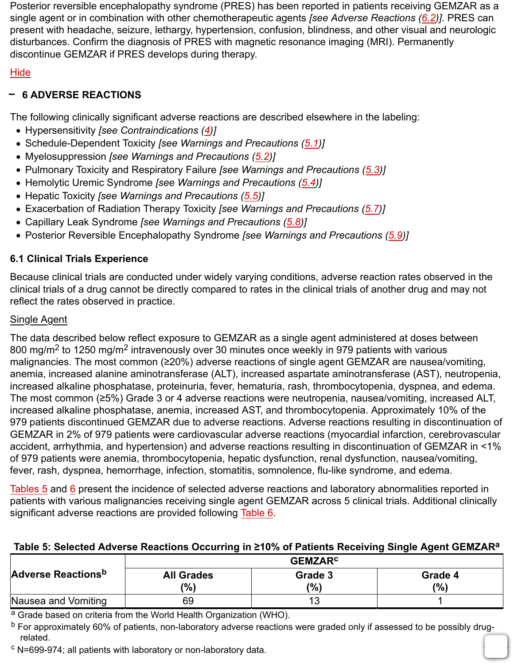Posterior reversible encephalopathy syndrome (PRES) has been reported in patients receiving GEMZAR as a single agent or in combination with other chemotherapeutic agents *[see Adverse Reactions (6.2)]*. PRES can present with headache, seizure, lethargy, hypertension, confusion, blindness, and other visual and neurologic disturbances. Confirm the diagnosis of PRES with magnetic resonance imaging (MRI). Permanently discontinue GEMZAR if PRES develops during therapy.

# **Hide**

# **- 6 ADVERSE REACTIONS**

The following clinically significant adverse reactions are described elsewhere in the labeling:

- Hypersensitivity *[see Contraindications (4)]*
- Schedule-Dependent Toxicity *[see Warnings and Precautions (5.1)]*
- Myelosuppression *[see Warnings and Precautions (5.2)]*
- Pulmonary Toxicity and Respiratory Failure *[see Warnings and Precautions (5.3)]*
- Hemolytic Uremic Syndrome *[see Warnings and Precautions (5.4)]*
- Hepatic Toxicity *[see Warnings and Precautions (5.5)]*
- Exacerbation of Radiation Therapy Toxicity *[see Warnings and Precautions (5.7)]*
- Capillary Leak Syndrome *[see Warnings and Precautions (5.8)]*
- Posterior Reversible Encephalopathy Syndrome *[see Warnings and Precautions (5.9)]*

# **6.1 Clinical Trials Experience**

Because clinical trials are conducted under widely varying conditions, adverse reaction rates observed in the clinical trials of a drug cannot be directly compared to rates in the clinical trials of another drug and may not reflect the rates observed in practice.

## Single Agent

The data described below reflect exposure to GEMZAR as a single agent administered at doses between 800 mg/m<sup>2</sup> to 1250 mg/m<sup>2</sup> intravenously over 30 minutes once weekly in 979 patients with various malignancies. The most common (≥20%) adverse reactions of single agent GEMZAR are nausea/vomiting, anemia, increased alanine aminotransferase (ALT), increased aspartate aminotransferase (AST), neutropenia, increased alkaline phosphatase, proteinuria, fever, hematuria, rash, thrombocytopenia, dyspnea, and edema. The most common (≥5%) Grade 3 or 4 adverse reactions were neutropenia, nausea/vomiting, increased ALT, increased alkaline phosphatase, anemia, increased AST, and thrombocytopenia. Approximately 10% of the 979 patients discontinued GEMZAR due to adverse reactions. Adverse reactions resulting in discontinuation of GEMZAR in 2% of 979 patients were cardiovascular adverse reactions (myocardial infarction, cerebrovascular accident, arrhythmia, and hypertension) and adverse reactions resulting in discontinuation of GEMZAR in <1% of 979 patients were anemia, thrombocytopenia, hepatic dysfunction, renal dysfunction, nausea/vomiting, fever, rash, dyspnea, hemorrhage, infection, stomatitis, somnolence, flu-like syndrome, and edema.

Tables 5 and 6 present the incidence of selected adverse reactions and laboratory abnormalities reported in patients with various malignancies receiving single agent GEMZAR across 5 clinical trials. Additional clinically significant adverse reactions are provided following Table 6.

#### **Table 5: Selected Adverse Reactions Occurring in ≥10% of Patients Receiving Single Agent GEMZAR a c**

|                                      |                   | <b>GEMZAR<sup>c</sup></b> |         |  |  |  |
|--------------------------------------|-------------------|---------------------------|---------|--|--|--|
| <b>Adverse Reactions<sup>b</sup></b> | <b>All Grades</b> | Grade 3                   | Grade 4 |  |  |  |
|                                      | (%)               | (9/0)                     | (9/0)   |  |  |  |
| Nausea and Vomiting                  | 69                |                           |         |  |  |  |

<sup>a</sup> Grade based on criteria from the World Health Organization (WHO).

<sup>b</sup> For approximately 60% of patients, non-laboratory adverse reactions were graded only if assessed to be possibly drugrelated.

 $\textdegree$  N=699-974; all patients with laboratory or non-laboratory data.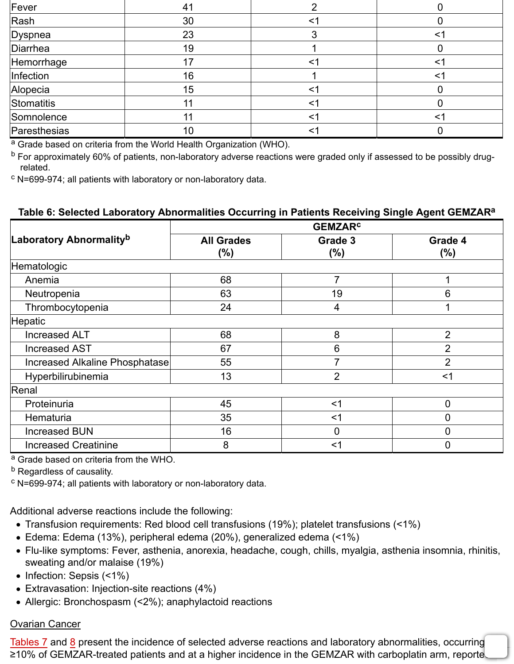| Fever        | 4 <sup>′</sup> |  |
|--------------|----------------|--|
| Rash         | 30             |  |
| Dyspnea      | 23             |  |
| Diarrhea     | 19             |  |
| Hemorrhage   |                |  |
| Infection    | 16             |  |
| Alopecia     | 15             |  |
| Stomatitis   |                |  |
| Somnolence   |                |  |
| Paresthesias | 10             |  |

<sup>a</sup> Grade based on criteria from the World Health Organization (WHO).

<sup>b</sup> For approximately 60% of patients, non-laboratory adverse reactions were graded only if assessed to be possibly drugrelated.

 $\textdegree$  N=699-974; all patients with laboratory or non-laboratory data.

#### **Table 6: Selected Laboratory Abnormalities Occurring in Patients Receiving Single Agent GEMZAR a**

|                                       | <b>GEMZAR<sup>c</sup></b> |                |                |  |  |  |  |
|---------------------------------------|---------------------------|----------------|----------------|--|--|--|--|
| Laboratory Abnormality <sup>b</sup>   | <b>All Grades</b><br>(%)  | Grade 3<br>(%) | Grade 4<br>(%) |  |  |  |  |
| Hematologic                           |                           |                |                |  |  |  |  |
| Anemia                                | 68                        | $\overline{7}$ |                |  |  |  |  |
| Neutropenia                           | 63                        | 19             | 6              |  |  |  |  |
| Thrombocytopenia                      | 24                        | 4              |                |  |  |  |  |
| Hepatic                               |                           |                |                |  |  |  |  |
| <b>Increased ALT</b>                  | 68                        | 8              | $\overline{2}$ |  |  |  |  |
| <b>Increased AST</b>                  | 67                        | 6              | $\overline{2}$ |  |  |  |  |
| <b>Increased Alkaline Phosphatase</b> | 55                        | 7              | $\overline{2}$ |  |  |  |  |
| Hyperbilirubinemia                    | 13                        | $\overline{2}$ | $<$ 1          |  |  |  |  |
| Renal                                 |                           |                |                |  |  |  |  |
| Proteinuria                           | 45                        | $<$ 1          | 0              |  |  |  |  |
| Hematuria                             | 35                        | $<$ 1          | 0              |  |  |  |  |
| <b>Increased BUN</b>                  | 16                        | 0              | 0              |  |  |  |  |
| <b>Increased Creatinine</b>           | 8                         | $<$ 1          | 0              |  |  |  |  |

<sup>a</sup> Grade based on criteria from the WHO.

**b** Regardless of causality.

 $\textdegree$  N=699-974; all patients with laboratory or non-laboratory data.

Additional adverse reactions include the following:

- Transfusion requirements: Red blood cell transfusions (19%); platelet transfusions (<1%)
- Edema: Edema (13%), peripheral edema (20%), generalized edema (<1%)
- Flu-like symptoms: Fever, asthenia, anorexia, headache, cough, chills, myalgia, asthenia insomnia, rhinitis, sweating and/or malaise (19%)
- Infection: Sepsis (<1%)
- Extravasation: Injection-site reactions (4%)
- Allergic: Bronchospasm (<2%); anaphylactoid reactions

#### Ovarian Cancer

Tables 7 and 8 present the incidence of selected adverse reactions and laboratory abnormalities, occurring ≥10% of GEMZAR-treated patients and at a higher incidence in the GEMZAR with carboplatin arm, reporte.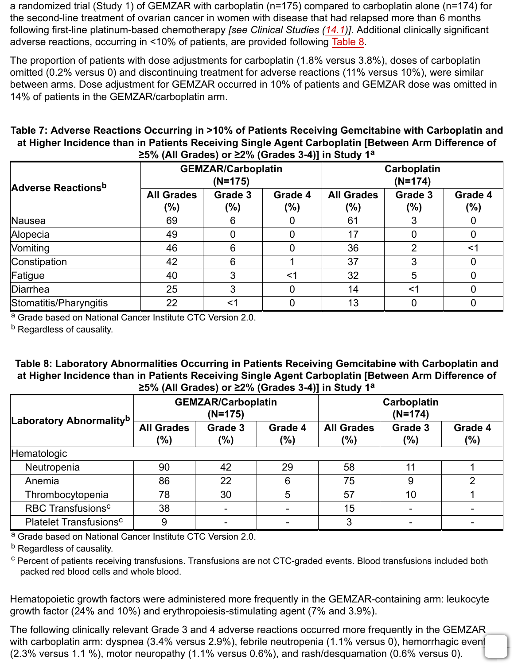a randomized trial (Study 1) of GEMZAR with carboplatin (n=175) compared to carboplatin alone (n=174) for the second-line treatment of ovarian cancer in women with disease that had relapsed more than 6 months following first-line platinum-based chemotherapy *[see Clinical Studies (14.1)]*. Additional clinically significant adverse reactions, occurring in <10% of patients, are provided following Table 8.

The proportion of patients with dose adjustments for carboplatin (1.8% versus 3.8%), doses of carboplatin omitted (0.2% versus 0) and discontinuing treatment for adverse reactions (11% versus 10%), were similar between arms. Dose adjustment for GEMZAR occurred in 10% of patients and GEMZAR dose was omitted in 14% of patients in the GEMZAR/carboplatin arm.

#### **Table 7: Adverse Reactions Occurring in >10% of Patients Receiving Gemcitabine with Carboplatin and at Higher Incidence than in Patients Receiving Single Agent Carboplatin [Between Arm Difference of ≥5% (All Grades) or ≥2% (Grades 3-4)] in Study 1 a**

|                                       |                          | <b>GEMZAR/Carboplatin</b><br>$(N=175)$ |                | Carboplatin<br>$(N=174)$ |                |                |
|---------------------------------------|--------------------------|----------------------------------------|----------------|--------------------------|----------------|----------------|
| <b>Adverse Reactions</b> <sup>b</sup> | <b>All Grades</b><br>(%) | Grade 3<br>(%)                         | Grade 4<br>(%) | <b>All Grades</b><br>(%) | Grade 3<br>(%) | Grade 4<br>(%) |
| Nausea                                | 69                       | 6                                      | 0              | 61                       |                |                |
| Alopecia                              | 49                       | 0                                      | 0              | 17                       |                |                |
| Vomiting                              | 46                       | 6                                      | 0              | 36                       | ົ              | <1             |
| Constipation                          | 42                       | 6                                      |                | 37                       |                |                |
| Fatigue                               | 40                       | 3                                      | <1             | 32                       | 5              |                |
| Diarrhea                              | 25                       | 3                                      | 0              | 14                       | <′             |                |
| Stomatitis/Pharyngitis                | 22                       | <1                                     | 0              | 13                       |                |                |

<sup>a</sup> Grade based on National Cancer Institute CTC Version 2.0.

**b** Regardless of causality.

#### **Table 8: Laboratory Abnormalities Occurring in Patients Receiving Gemcitabine with Carboplatin and at Higher Incidence than in Patients Receiving Single Agent Carboplatin [Between Arm Difference of ≥5% (All Grades) or ≥2% (Grades 3-4)] in Study 1 a**

|                                     |                          | <b>GEMZAR/Carboplatin</b><br>$(N=175)$ |                | Carboplatin<br>$(N=174)$ |                          |                |
|-------------------------------------|--------------------------|----------------------------------------|----------------|--------------------------|--------------------------|----------------|
| Laboratory Abnormality <sup>b</sup> | <b>All Grades</b><br>(%) | Grade 3<br>(%)                         | Grade 4<br>(%) | <b>All Grades</b><br>(%) | Grade 3<br>(%)           | Grade 4<br>(%) |
| Hematologic                         |                          |                                        |                |                          |                          |                |
| Neutropenia                         | 90                       | 42                                     | 29             | 58                       | 11                       |                |
| Anemia                              | 86                       | 22                                     | 6              | 75                       | 9                        | 2              |
| Thrombocytopenia                    | 78                       | 30                                     | 5              | 57                       | 10                       |                |
| RBC Transfusions <sup>c</sup>       | 38                       | ۰                                      |                | 15                       | $\overline{\phantom{0}}$ |                |
| Platelet Transfusions <sup>c</sup>  | 9                        |                                        |                | ◠                        |                          |                |

<sup>a</sup> Grade based on National Cancer Institute CTC Version 2.0.

**b** Regardless of causality.

<sup>c</sup> Percent of patients receiving transfusions. Transfusions are not CTC-graded events. Blood transfusions included both packed red blood cells and whole blood.

Hematopoietic growth factors were administered more frequently in the GEMZAR-containing arm: leukocyte growth factor (24% and 10%) and erythropoiesis-stimulating agent (7% and 3.9%).

The following clinically relevant Grade 3 and 4 adverse reactions occurred more frequently in the GEMZAR with carboplatin arm: dyspnea (3.4% versus 2.9%), febrile neutropenia (1.1% versus 0), hemorrhagic event (2.3% versus 1.1 %), motor neuropathy (1.1% versus 0.6%), and rash/desquamation (0.6% versus 0).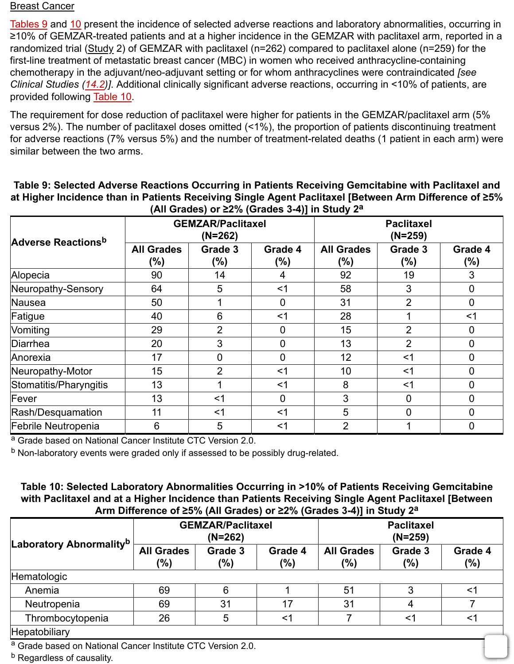#### Breast Cancer

Tables 9 and 10 present the incidence of selected adverse reactions and laboratory abnormalities, occurring in ≥10% of GEMZAR-treated patients and at a higher incidence in the GEMZAR with paclitaxel arm, reported in a randomized trial (Study 2) of GEMZAR with paclitaxel (n=262) compared to paclitaxel alone (n=259) for the first-line treatment of metastatic breast cancer (MBC) in women who received anthracycline-containing chemotherapy in the adjuvant/neo-adjuvant setting or for whom anthracyclines were contraindicated *[see Clinical Studies (14.2)]*. Additional clinically significant adverse reactions, occurring in <10% of patients, are provided following Table 10.

The requirement for dose reduction of paclitaxel were higher for patients in the GEMZAR/paclitaxel arm (5% versus 2%). The number of paclitaxel doses omitted (<1%), the proportion of patients discontinuing treatment for adverse reactions (7% versus 5%) and the number of treatment-related deaths (1 patient in each arm) were similar between the two arms.

#### **Table 9: Selected Adverse Reactions Occurring in Patients Receiving Gemcitabine with Paclitaxel and at Higher Incidence than in Patients Receiving Single Agent Paclitaxel [Between Arm Difference of ≥5% (All Grades) or ≥2% (Grades 3-4)] in Study 2 a**

| <b>Adverse Reactions<sup>b</sup></b> | <b>GEMZAR/Paclitaxel</b><br>$(N=262)$ |                |                   | <b>Paclitaxel</b><br>$(N=259)$ |                |                |
|--------------------------------------|---------------------------------------|----------------|-------------------|--------------------------------|----------------|----------------|
|                                      | <b>All Grades</b><br>(%)              | Grade 3<br>(%) | Grade 4<br>$(\%)$ | <b>All Grades</b><br>$(\% )$   | Grade 3<br>(%) | Grade 4<br>(%) |
| Alopecia                             | 90                                    | 14             | 4                 | 92                             | 19             | 3              |
| Neuropathy-Sensory                   | 64                                    | 5              | $<$ 1             | 58                             | 3              | $\overline{0}$ |
| Nausea                               | 50                                    |                | $\Omega$          | 31                             | $\overline{2}$ | $\mathbf 0$    |
| Fatigue                              | 40                                    | 6              | $<$ 1             | 28                             |                | $<$ 1          |
| Vomiting                             | 29                                    | 2              | 0                 | 15                             | $\overline{2}$ | $\mathbf 0$    |
| Diarrhea                             | 20                                    | 3              | 0                 | 13                             | $\overline{2}$ | 0              |
| Anorexia                             | 17                                    | 0              | 0                 | 12                             | $<$ 1          | 0              |
| Neuropathy-Motor                     | 15                                    | $\overline{2}$ | $<$ 1             | 10                             | $<$ 1          | $\mathbf 0$    |
| Stomatitis/Pharyngitis               | 13                                    |                | $<$ 1             | 8                              | $<$ 1          | 0              |
| Fever                                | 13                                    | $<$ 1          | 0                 | 3                              | 0              | 0              |
| Rash/Desquamation                    | 11                                    | $<$ 1          | $<$ 1             | 5                              | 0              | $\mathbf 0$    |
| Febrile Neutropenia                  | 6                                     | 5              | $<$ 1             | $\overline{2}$                 |                | 0              |

<sup>a</sup> Grade based on National Cancer Institute CTC Version 2.0.

<sup>b</sup> Non-laboratory events were graded only if assessed to be possibly drug-related.

#### **Table 10: Selected Laboratory Abnormalities Occurring in >10% of Patients Receiving Gemcitabine with Paclitaxel and at a Higher Incidence than Patients Receiving Single Agent Paclitaxel [Between Arm Difference of ≥5% (All Grades) or ≥2% (Grades 3-4)] in Study 2 a**

| Laboratory Abnormality <sup>b</sup> | <b>GEMZAR/Paclitaxel</b><br>$(N=262)$ |                |                | <b>Paclitaxel</b><br>$(N=259)$      |                |                |
|-------------------------------------|---------------------------------------|----------------|----------------|-------------------------------------|----------------|----------------|
|                                     | <b>All Grades</b><br>$(\% )$          | Grade 3<br>(%) | Grade 4<br>(%) | <b>All Grades</b><br>$\frac{10}{6}$ | Grade 3<br>(%) | Grade 4<br>(%) |
| Hematologic                         |                                       |                |                |                                     |                |                |
| Anemia                              | 69                                    | 6              |                | 51                                  |                | <1             |
| Neutropenia                         | 69                                    | 31             | 17             | 31                                  | 4              |                |
| Thrombocytopenia                    | 26                                    | 5              |                |                                     | <1             | <1             |
| Hepatobiliary                       |                                       |                |                |                                     |                |                |

<sup>a</sup> Grade based on National Cancer Institute CTC Version 2.0.

**b** Regardless of causality.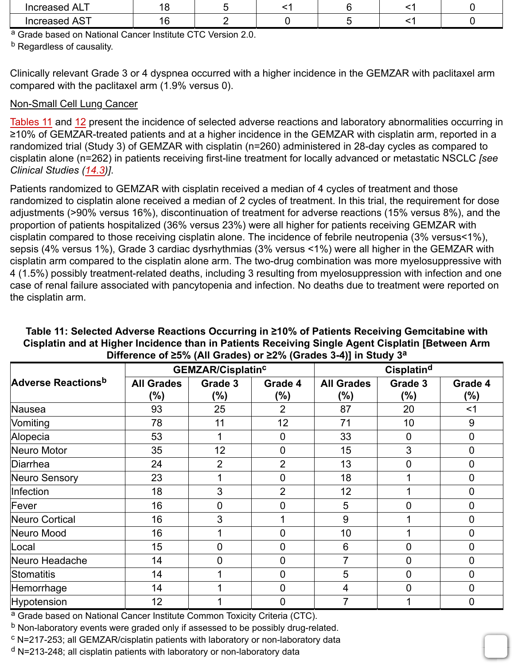| AL]<br>$P^{\text{max}}$<br>'NС<br>، د ،      |  |  |  |
|----------------------------------------------|--|--|--|
| $\cdot$ $\wedge$ $\sim$<br>m<br>. آهي<br>AJ. |  |  |  |

a Grade based on National Cancer Institute CTC Version 2.0.

**b** Regardless of causality.

Clinically relevant Grade 3 or 4 dyspnea occurred with a higher incidence in the GEMZAR with paclitaxel arm compared with the paclitaxel arm (1.9% versus 0).

#### Non-Small Cell Lung Cancer

Tables 11 and 12 present the incidence of selected adverse reactions and laboratory abnormalities occurring in ≥10% of GEMZAR-treated patients and at a higher incidence in the GEMZAR with cisplatin arm, reported in a randomized trial (Study 3) of GEMZAR with cisplatin (n=260) administered in 28-day cycles as compared to cisplatin alone (n=262) in patients receiving first-line treatment for locally advanced or metastatic NSCLC *[see Clinical Studies (14.3)]*.

Patients randomized to GEMZAR with cisplatin received a median of 4 cycles of treatment and those randomized to cisplatin alone received a median of 2 cycles of treatment. In this trial, the requirement for dose adjustments (>90% versus 16%), discontinuation of treatment for adverse reactions (15% versus 8%), and the proportion of patients hospitalized (36% versus 23%) were all higher for patients receiving GEMZAR with cisplatin compared to those receiving cisplatin alone. The incidence of febrile neutropenia (3% versus<1%), sepsis (4% versus 1%), Grade 3 cardiac dysrhythmias (3% versus <1%) were all higher in the GEMZAR with cisplatin arm compared to the cisplatin alone arm. The two-drug combination was more myelosuppressive with 4 (1.5%) possibly treatment-related deaths, including 3 resulting from myelosuppression with infection and one case of renal failure associated with pancytopenia and infection. No deaths due to treatment were reported on the cisplatin arm.

|                                       | <b>GEMZAR/Cisplatin<sup>c</sup></b> |                |                   | Cisplatin <sup>d</sup>   |                   |                   |  |
|---------------------------------------|-------------------------------------|----------------|-------------------|--------------------------|-------------------|-------------------|--|
| <b>Adverse Reactions</b> <sup>b</sup> | <b>Grades</b><br>All<br>(%)         | Grade 3<br>(%) | Grade 4<br>$(\%)$ | <b>All Grades</b><br>(%) | Grade 3<br>$(\%)$ | Grade 4<br>$(\%)$ |  |
| Nausea                                | 93                                  | 25             | $\overline{2}$    | 87                       | 20                | $<$ 1             |  |
| Vomiting                              | 78                                  | 11             | 12                | 71                       | 10                | 9                 |  |
| Alopecia                              | 53                                  |                | 0                 | 33                       | $\boldsymbol{0}$  | $\mathbf 0$       |  |
| Neuro Motor                           | 35                                  | 12             | 0                 | 15                       | 3                 | $\mathbf 0$       |  |
| Diarrhea                              | 24                                  | $\overline{2}$ | $\overline{2}$    | 13                       | 0                 | $\mathbf 0$       |  |
| Neuro Sensory                         | 23                                  |                | 0                 | 18                       |                   | $\mathbf 0$       |  |
| Infection                             | 18                                  | 3              | $\overline{2}$    | 12                       |                   | $\mathbf 0$       |  |
| Fever                                 | 16                                  | $\overline{0}$ | 0                 | 5                        | 0                 | $\mathbf 0$       |  |
| Neuro Cortical                        | 16                                  | 3              |                   | 9                        |                   | $\mathbf 0$       |  |
| Neuro Mood                            | 16                                  |                | 0                 | 10                       |                   | $\mathbf 0$       |  |
| Local                                 | 15                                  | $\overline{0}$ | 0                 | $6\phantom{1}6$          | $\overline{0}$    | $\mathbf 0$       |  |
| Neuro Headache                        | 14                                  | $\overline{0}$ | 0                 | $\overline{7}$           | 0                 | $\mathbf 0$       |  |
| Stomatitis                            | 14                                  |                | 0                 | 5                        | 0                 | $\mathbf 0$       |  |
| Hemorrhage                            | 14                                  |                | 0                 | 4                        | 0                 | $\overline{0}$    |  |
| Hypotension                           | 12                                  |                | 0                 | 7                        |                   | $\overline{0}$    |  |

#### **Table 11: Selected Adverse Reactions Occurring in ≥10% of Patients Receiving Gemcitabine with Cisplatin and at Higher Incidence than in Patients Receiving Single Agent Cisplatin [Between Arm Difference of ≥5% (All Grades) or ≥2% (Grades 3-4)] in Study 3 a**

<sup>a</sup> Grade based on National Cancer Institute Common Toxicity Criteria (CTC).

<sup>b</sup> Non-laboratory events were graded only if assessed to be possibly drug-related.

 $\textdegree$  N=217-253; all GEMZAR/cisplatin patients with laboratory or non-laboratory data

<sup>d</sup> N=213-248; all cisplatin patients with laboratory or non-laboratory data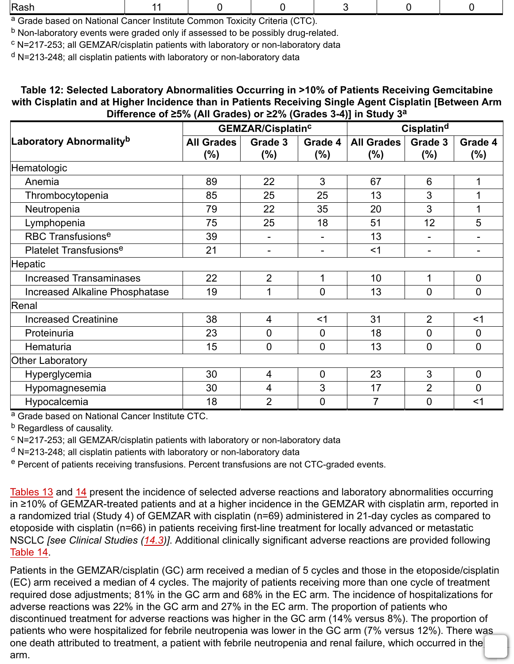| IR |  |  |  |
|----|--|--|--|
|    |  |  |  |

<sup>a</sup> Grade based on National Cancer Institute Common Toxicity Criteria (CTC). <sup>b</sup> Non-laboratory events were graded only if assessed to be possibly drug-related.

 $\textdegree$  N=217-253; all GEMZAR/cisplatin patients with laboratory or non-laboratory data

<sup>d</sup> N=213-248; all cisplatin patients with laboratory or non-laboratory data

#### **Table 12: Selected Laboratory Abnormalities Occurring in >10% of Patients Receiving Gemcitabine with Cisplatin and at Higher Incidence than in Patients Receiving Single Agent Cisplatin [Between Arm Difference of ≥5% (All Grades) or ≥2% (Grades 3-4)] in Study 3 a**

|                                       |                   | <b>GEMZAR/Cisplatin<sup>c</sup></b> |             | Cisplatin <sup>d</sup> |                |                |
|---------------------------------------|-------------------|-------------------------------------|-------------|------------------------|----------------|----------------|
| Laboratory Abnormality <sup>b</sup>   | <b>All Grades</b> | Grade 3                             | Grade 4     | <b>All Grades</b>      | Grade 3        | Grade 4        |
|                                       | $(\%)$            | $(\%)$                              | (%)         | (%)                    | (%)            | $(\%)$         |
| Hematologic                           |                   |                                     |             |                        |                |                |
| Anemia                                | 89                | 22                                  | 3           | 67                     | 6              | $\mathbf 1$    |
| Thrombocytopenia                      | 85                | 25                                  | 25          | 13                     | 3              |                |
| Neutropenia                           | 79                | 22                                  | 35          | 20                     | 3              | 1              |
| Lymphopenia                           | 75                | 25                                  | 18          | 51                     | 12             | 5              |
| RBC Transfusions <sup>e</sup>         | 39                | $\overline{\phantom{a}}$            |             | 13                     | $\blacksquare$ |                |
| <b>Platelet Transfusionse</b>         | 21                | -                                   |             | $<$ 1                  | $\blacksquare$ |                |
| Hepatic                               |                   |                                     |             |                        |                |                |
| <b>Increased Transaminases</b>        | 22                | $\overline{2}$                      | $\mathbf 1$ | 10                     | 1              | 0              |
| <b>Increased Alkaline Phosphatase</b> | 19                | 1                                   | 0           | 13                     | 0              | $\overline{0}$ |
| Renal                                 |                   |                                     |             |                        |                |                |
| <b>Increased Creatinine</b>           | 38                | 4                                   | $<$ 1       | 31                     | $\overline{2}$ | $<$ 1          |
| Proteinuria                           | 23                | 0                                   | 0           | 18                     | 0              | 0              |
| Hematuria                             | 15                | 0                                   | 0           | 13                     | $\overline{0}$ | 0              |
| Other Laboratory                      |                   |                                     |             |                        |                |                |
| Hyperglycemia                         | 30                | 4                                   | 0           | 23                     | 3              | 0              |
| Hypomagnesemia                        | 30                | 4                                   | 3           | 17                     | $\overline{2}$ | 0              |
| Hypocalcemia                          | 18                | $\overline{2}$                      | 0           | 7                      | 0              | $<$ 1          |

<sup>a</sup> Grade based on National Cancer Institute CTC.

**b** Regardless of causality.

 $\textdegree$  N=217-253; all GEMZAR/cisplatin patients with laboratory or non-laboratory data

<sup>d</sup> N=213-248; all cisplatin patients with laboratory or non-laboratory data

<sup>e</sup> Percent of patients receiving transfusions. Percent transfusions are not CTC-graded events.

Tables 13 and 14 present the incidence of selected adverse reactions and laboratory abnormalities occurring in ≥10% of GEMZAR-treated patients and at a higher incidence in the GEMZAR with cisplatin arm, reported in a randomized trial (Study 4) of GEMZAR with cisplatin (n=69) administered in 21-day cycles as compared to etoposide with cisplatin (n=66) in patients receiving first-line treatment for locally advanced or metastatic NSCLC *[see Clinical Studies (14.3)]*. Additional clinically significant adverse reactions are provided following Table 14.

Patients in the GEMZAR/cisplatin (GC) arm received a median of 5 cycles and those in the etoposide/cisplatin (EC) arm received a median of 4 cycles. The majority of patients receiving more than one cycle of treatment required dose adjustments; 81% in the GC arm and 68% in the EC arm. The incidence of hospitalizations for adverse reactions was 22% in the GC arm and 27% in the EC arm. The proportion of patients who discontinued treatment for adverse reactions was higher in the GC arm (14% versus 8%). The proportion of patients who were hospitalized for febrile neutropenia was lower in the GC arm (7% versus 12%). There was one death attributed to treatment, a patient with febrile neutropenia and renal failure, which occurred in the arm.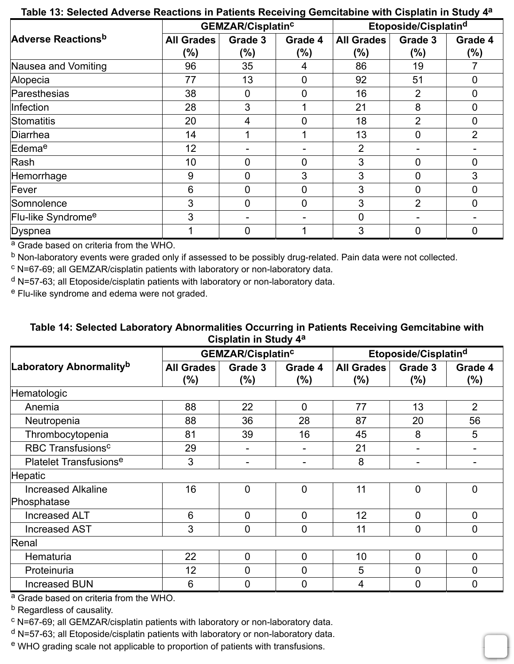|                                | <b>GEMZAR/Cisplatin<sup>c</sup></b> |                    |                | Etoposide/Cisplatin <sup>d</sup> |                |                |
|--------------------------------|-------------------------------------|--------------------|----------------|----------------------------------|----------------|----------------|
| Adverse Reactions <sup>b</sup> | <b>All Grades</b><br>$(\%)$         | Grade 3<br>$(\% )$ | Grade 4<br>(%) | <b>All Grades</b><br>$(\%)$      | Grade 3<br>(%) | Grade 4<br>(%) |
| Nausea and Vomiting            | 96                                  | 35                 | 4              | 86                               | 19             |                |
| Alopecia                       | 77                                  | 13                 | $\overline{0}$ | 92                               | 51             | 0              |
| Paresthesias                   | 38                                  | $\overline{0}$     | 0              | 16                               | $\overline{2}$ | 0              |
| Infection                      | 28                                  | 3                  |                | 21                               | 8              | $\mathbf 0$    |
| Stomatitis                     | 20                                  | 4                  | 0              | 18                               | $\overline{2}$ | 0              |
| Diarrhea                       | 14                                  |                    |                | 13                               | 0              | $\overline{2}$ |
| Edemae                         | 12                                  |                    |                | $\overline{2}$                   |                |                |
| Rash                           | 10                                  | 0                  | 0              | 3                                | 0              | 0              |
| Hemorrhage                     | 9                                   | 0                  | 3              | 3                                | 0              | 3              |
| Fever                          | 6                                   | 0                  | 0              | 3                                | 0              | 0              |
| Somnolence                     | 3                                   | $\Omega$           | 0              | 3                                | 2              | $\mathbf 0$    |
| Flu-like Syndrome <sup>e</sup> | 3                                   |                    |                | 0                                |                |                |
| Dyspnea                        |                                     | 0                  |                | 3                                | 0              | 0              |

## **Table 13: Selected Adverse Reactions in Patients Receiving Gemcitabine with Cisplatin in Study 4 a**

<sup>a</sup> Grade based on criteria from the WHO.

<sup>b</sup> Non-laboratory events were graded only if assessed to be possibly drug-related. Pain data were not collected.

 $\textdegree$  N=67-69; all GEMZAR/cisplatin patients with laboratory or non-laboratory data.

<sup>d</sup> N=57-63; all Etoposide/cisplatin patients with laboratory or non-laboratory data.

<sup>e</sup> Flu-like syndrome and edema were not graded.

## **Table 14: Selected Laboratory Abnormalities Occurring in Patients Receiving Gemcitabine with Cisplatin in Study 4 a**

|                                     |                          | <b>GEMZAR/Cisplatin<sup>c</sup></b> |                   |                          | Etoposide/Cisplatin <sup>d</sup> |                |  |
|-------------------------------------|--------------------------|-------------------------------------|-------------------|--------------------------|----------------------------------|----------------|--|
| Laboratory Abnormality <sup>b</sup> | <b>All Grades</b><br>(%) | Grade 3<br>$(\% )$                  | Grade 4<br>$(\%)$ | <b>All Grades</b><br>(%) | Grade 3<br>(%)                   | Grade 4<br>(%) |  |
| Hematologic                         |                          |                                     |                   |                          |                                  |                |  |
| Anemia                              | 88                       | 22                                  | $\overline{0}$    | 77                       | 13                               | $\overline{2}$ |  |
| Neutropenia                         | 88                       | 36                                  | 28                | 87                       | 20                               | 56             |  |
| Thrombocytopenia                    | 81                       | 39                                  | 16                | 45                       | 8                                | 5              |  |
| RBC Transfusions <sup>c</sup>       | 29                       |                                     | -                 | 21                       |                                  |                |  |
| Platelet Transfusions <sup>e</sup>  | 3                        |                                     | -                 | 8                        |                                  |                |  |
| Hepatic                             |                          |                                     |                   |                          |                                  |                |  |
| <b>Increased Alkaline</b>           | 16                       | $\overline{0}$                      | $\mathbf 0$       | 11                       | $\mathbf 0$                      | 0              |  |
| Phosphatase                         |                          |                                     |                   |                          |                                  |                |  |
| <b>Increased ALT</b>                | $6\phantom{1}$           | $\overline{0}$                      | 0                 | 12                       | $\overline{0}$                   | $\mathbf 0$    |  |
| <b>Increased AST</b>                | 3                        | $\overline{0}$                      | $\mathbf 0$       | 11                       | $\overline{0}$                   | $\mathbf 0$    |  |
| Renal                               |                          |                                     |                   |                          |                                  |                |  |
| Hematuria                           | 22                       | $\overline{0}$                      | $\mathbf 0$       | 10                       | $\mathbf 0$                      | $\mathbf 0$    |  |
| Proteinuria                         | 12                       | $\overline{0}$                      | 0                 | 5                        | $\mathbf 0$                      | 0              |  |
| <b>Increased BUN</b>                | 6                        | $\overline{0}$                      | $\mathbf 0$       | 4                        | $\overline{0}$                   | 0              |  |

<sup>a</sup> Grade based on criteria from the WHO.

**b** Regardless of causality.

 $\textdegree$  N=67-69; all GEMZAR/cisplatin patients with laboratory or non-laboratory data.

<sup>d</sup> N=57-63; all Etoposide/cisplatin patients with laboratory or non-laboratory data.

<sup>e</sup> WHO grading scale not applicable to proportion of patients with transfusions.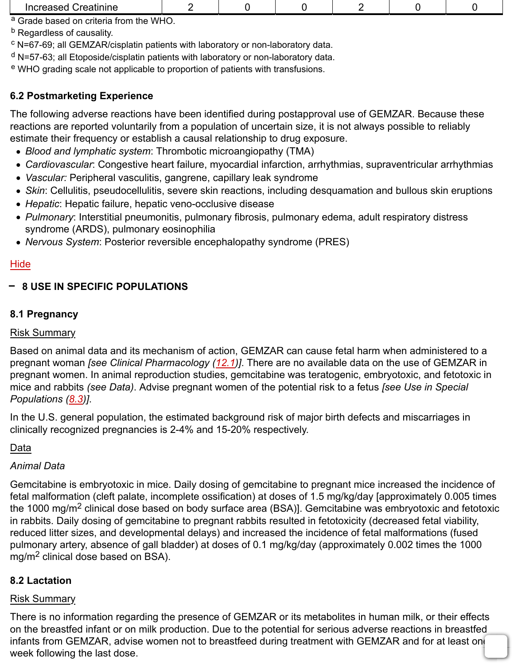| `ragtinina<br>lno.<br>∍reatinine<br>175CL.                                       |  |  |  |
|----------------------------------------------------------------------------------|--|--|--|
| $2 \Delta x + 1$ become the contract of $f(x)$ and $f(x)$ is $\Delta M + \Delta$ |  |  |  |

<sup>a</sup> Grade based on criteria from the WHO. **b** Regardless of causality.

 $\textdegree$  N=67-69; all GEMZAR/cisplatin patients with laboratory or non-laboratory data.

<sup>d</sup> N=57-63; all Etoposide/cisplatin patients with laboratory or non-laboratory data.

<sup>e</sup> WHO grading scale not applicable to proportion of patients with transfusions.

# **6.2 Postmarketing Experience**

The following adverse reactions have been identified during postapproval use of GEMZAR. Because these reactions are reported voluntarily from a population of uncertain size, it is not always possible to reliably estimate their frequency or establish a causal relationship to drug exposure.

- *Blood and lymphatic system*: Thrombotic microangiopathy (TMA)
- *Cardiovascular*: Congestive heart failure, myocardial infarction, arrhythmias, supraventricular arrhythmias
- *Vascular:* Peripheral vasculitis, gangrene, capillary leak syndrome
- *Skin*: Cellulitis, pseudocellulitis, severe skin reactions, including desquamation and bullous skin eruptions
- *Hepatic*: Hepatic failure, hepatic veno-occlusive disease
- *Pulmonary*: Interstitial pneumonitis, pulmonary fibrosis, pulmonary edema, adult respiratory distress syndrome (ARDS), pulmonary eosinophilia
- *Nervous System*: Posterior reversible encephalopathy syndrome (PRES)

### Hide

## **- 8 USE IN SPECIFIC POPULATIONS**

## **8.1 Pregnancy**

### Risk Summary

Based on animal data and its mechanism of action, GEMZAR can cause fetal harm when administered to a pregnant woman *[see Clinical Pharmacology (12.1)]*. There are no available data on the use of GEMZAR in pregnant women. In animal reproduction studies, gemcitabine was teratogenic, embryotoxic, and fetotoxic in mice and rabbits *(see Data)*. Advise pregnant women of the potential risk to a fetus *[see Use in Special Populations (8.3)]*.

In the U.S. general population, the estimated background risk of major birth defects and miscarriages in clinically recognized pregnancies is 2-4% and 15-20% respectively.

## Data

## *Animal Data*

Gemcitabine is embryotoxic in mice. Daily dosing of gemcitabine to pregnant mice increased the incidence of fetal malformation (cleft palate, incomplete ossification) at doses of 1.5 mg/kg/day [approximately 0.005 times the 1000 mg/m<sup>2</sup> clinical dose based on body surface area (BSA)]. Gemcitabine was embryotoxic and fetotoxic in rabbits. Daily dosing of gemcitabine to pregnant rabbits resulted in fetotoxicity (decreased fetal viability, reduced litter sizes, and developmental delays) and increased the incidence of fetal malformations (fused pulmonary artery, absence of gall bladder) at doses of 0.1 mg/kg/day (approximately 0.002 times the 1000 mg/m<sup>2</sup> clinical dose based on BSA).

## **8.2 Lactation**

### Risk Summary

There is no information regarding the presence of GEMZAR or its metabolites in human milk, or their effects on the breastfed infant or on milk production. Due to the potential for serious adverse reactions in breastfed infants from GEMZAR, advise women not to breastfeed during treatment with GEMZAR and for at least one week following the last dose.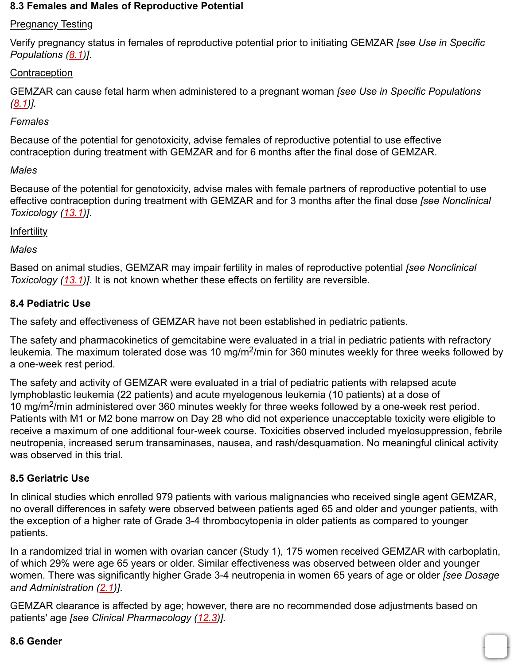#### **8.3 Females and Males of Reproductive Potential**

#### Pregnancy Testing

Verify pregnancy status in females of reproductive potential prior to initiating GEMZAR *[see Use in Specific Populations (8.1)]*.

### **Contraception**

GEMZAR can cause fetal harm when administered to a pregnant woman *[see Use in Specific Populations (8.1)].*

#### *Females*

Because of the potential for genotoxicity, advise females of reproductive potential to use effective contraception during treatment with GEMZAR and for 6 months after the final dose of GEMZAR.

#### *Males*

Because of the potential for genotoxicity, advise males with female partners of reproductive potential to use effective contraception during treatment with GEMZAR and for 3 months after the final dose *[see Nonclinical Toxicology (13.1)]*.

#### Infertility

#### *Males*

Based on animal studies, GEMZAR may impair fertility in males of reproductive potential *[see Nonclinical Toxicology (13.1)]*. It is not known whether these effects on fertility are reversible.

#### **8.4 Pediatric Use**

The safety and effectiveness of GEMZAR have not been established in pediatric patients.

The safety and pharmacokinetics of gemcitabine were evaluated in a trial in pediatric patients with refractory leukemia. The maximum tolerated dose was 10 mg/m<sup>2</sup>/min for 360 minutes weekly for three weeks followed by a one-week rest period.

The safety and activity of GEMZAR were evaluated in a trial of pediatric patients with relapsed acute lymphoblastic leukemia (22 patients) and acute myelogenous leukemia (10 patients) at a dose of 10 mg/m<sup>2</sup>/min administered over 360 minutes weekly for three weeks followed by a one-week rest period. Patients with M1 or M2 bone marrow on Day 28 who did not experience unacceptable toxicity were eligible to receive a maximum of one additional four-week course. Toxicities observed included myelosuppression, febrile neutropenia, increased serum transaminases, nausea, and rash/desquamation. No meaningful clinical activity was observed in this trial.

### **8.5 Geriatric Use**

In clinical studies which enrolled 979 patients with various malignancies who received single agent GEMZAR, no overall differences in safety were observed between patients aged 65 and older and younger patients, with the exception of a higher rate of Grade 3-4 thrombocytopenia in older patients as compared to younger patients.

In a randomized trial in women with ovarian cancer (Study 1), 175 women received GEMZAR with carboplatin, of which 29% were age 65 years or older. Similar effectiveness was observed between older and younger women. There was significantly higher Grade 3-4 neutropenia in women 65 years of age or older *[see Dosage and Administration (2.1)]*.

GEMZAR clearance is affected by age; however, there are no recommended dose adjustments based on patients' age *[see Clinical Pharmacology (12.3)].*

### **8.6 Gender**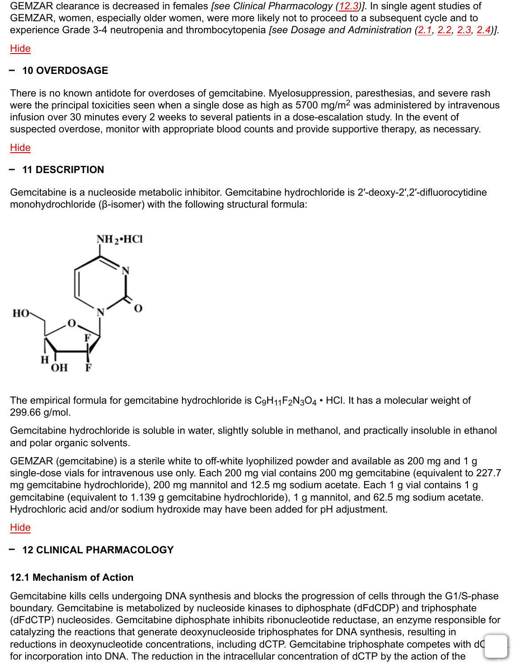GEMZAR clearance is decreased in females *[see Clinical Pharmacology (12.3)]*. In single agent studies of GEMZAR, women, especially older women, were more likely not to proceed to a subsequent cycle and to experience Grade 3-4 neutropenia and thrombocytopenia *[see Dosage and Administration (2.1, 2.2, 2.3, 2.4)]*.

## Hide

# **- 10 OVERDOSAGE**

There is no known antidote for overdoses of gemcitabine. Myelosuppression, paresthesias, and severe rash were the principal toxicities seen when a single dose as high as 5700 mg/m<sup>2</sup> was administered by intravenous infusion over 30 minutes every 2 weeks to several patients in a dose-escalation study. In the event of suspected overdose, monitor with appropriate blood counts and provide supportive therapy, as necessary.

## **Hide**

# **- 11 DESCRIPTION**

Gemcitabine is a nucleoside metabolic inhibitor. Gemcitabine hydrochloride is 2′-deoxy-2′,2′-difluorocytidine monohydrochloride (β-isomer) with the following structural formula:



The empirical formula for gemcitabine hydrochloride is  $\rm{C_9H_{11}F_2N_3O_4}$  • HCl. It has a molecular weight of 299.66 g/mol.

Gemcitabine hydrochloride is soluble in water, slightly soluble in methanol, and practically insoluble in ethanol and polar organic solvents.

GEMZAR (gemcitabine) is a sterile white to off-white lyophilized powder and available as 200 mg and 1 g single-dose vials for intravenous use only. Each 200 mg vial contains 200 mg gemcitabine (equivalent to 227.7 mg gemcitabine hydrochloride), 200 mg mannitol and 12.5 mg sodium acetate. Each 1 g vial contains 1 g gemcitabine (equivalent to 1.139 g gemcitabine hydrochloride), 1 g mannitol, and 62.5 mg sodium acetate. Hydrochloric acid and/or sodium hydroxide may have been added for pH adjustment.

## **Hide**

# **- 12 CLINICAL PHARMACOLOGY**

# **12.1 Mechanism of Action**

Gemcitabine kills cells undergoing DNA synthesis and blocks the progression of cells through the G1/S-phase boundary. Gemcitabine is metabolized by nucleoside kinases to diphosphate (dFdCDP) and triphosphate (dFdCTP) nucleosides. Gemcitabine diphosphate inhibits ribonucleotide reductase, an enzyme responsible for catalyzing the reactions that generate deoxynucleoside triphosphates for DNA synthesis, resulting in reductions in deoxynucleotide concentrations, including dCTP. Gemcitabine triphosphate competes with dC for incorporation into DNA. The reduction in the intracellular concentration of dCTP by the action of the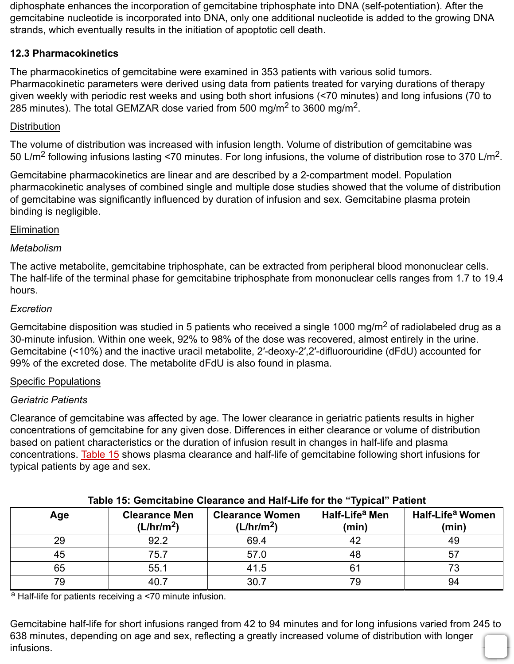diphosphate enhances the incorporation of gemcitabine triphosphate into DNA (self-potentiation). After the gemcitabine nucleotide is incorporated into DNA, only one additional nucleotide is added to the growing DNA strands, which eventually results in the initiation of apoptotic cell death.

## **12.3 Pharmacokinetics**

The pharmacokinetics of gemcitabine were examined in 353 patients with various solid tumors. Pharmacokinetic parameters were derived using data from patients treated for varying durations of therapy given weekly with periodic rest weeks and using both short infusions (<70 minutes) and long infusions (70 to 285 minutes). The total GEMZAR dose varied from 500 mg/m<sup>2</sup> to 3600 mg/m<sup>2</sup>.

## **Distribution**

The volume of distribution was increased with infusion length. Volume of distribution of gemcitabine was 50 L/m<sup>2</sup> following infusions lasting <70 minutes. For long infusions, the volume of distribution rose to 370 L/m<sup>2</sup>.

Gemcitabine pharmacokinetics are linear and are described by a 2-compartment model. Population pharmacokinetic analyses of combined single and multiple dose studies showed that the volume of distribution of gemcitabine was significantly influenced by duration of infusion and sex. Gemcitabine plasma protein binding is negligible.

#### Elimination

#### *Metabolism*

The active metabolite, gemcitabine triphosphate, can be extracted from peripheral blood mononuclear cells. The half-life of the terminal phase for gemcitabine triphosphate from mononuclear cells ranges from 1.7 to 19.4 hours.

#### *Excretion*

Gemcitabine disposition was studied in 5 patients who received a single 1000 mg/m<sup>2</sup> of radiolabeled drug as a 30-minute infusion. Within one week, 92% to 98% of the dose was recovered, almost entirely in the urine. Gemcitabine (<10%) and the inactive uracil metabolite, 2′-deoxy-2′,2′-difluorouridine (dFdU) accounted for 99% of the excreted dose. The metabolite dFdU is also found in plasma.

#### Specific Populations

### *Geriatric Patients*

Clearance of gemcitabine was affected by age. The lower clearance in geriatric patients results in higher concentrations of gemcitabine for any given dose. Differences in either clearance or volume of distribution based on patient characteristics or the duration of infusion result in changes in half-life and plasma concentrations. Table 15 shows plasma clearance and half-life of gemcitabine following short infusions for typical patients by age and sex.

| <b>TWATE</b> TWO CONTRACTED STOCK AND AND THAT END TO THE TYPICAL TRUSHE |                                                |                                                  |                                     |                                             |  |  |
|--------------------------------------------------------------------------|------------------------------------------------|--------------------------------------------------|-------------------------------------|---------------------------------------------|--|--|
| Age                                                                      | <b>Clearance Men</b><br>(L/hr/m <sup>2</sup> ) | <b>Clearance Women</b><br>(L/hr/m <sup>2</sup> ) | Half-Life <sup>a</sup> Men<br>(min) | <b>Half-Life<sup>a</sup> Women</b><br>(min) |  |  |
| 29                                                                       | 92.2                                           | 69.4                                             | 42                                  | 49                                          |  |  |
| 45                                                                       | 75.7                                           | 57.0                                             | 48                                  |                                             |  |  |
| 65                                                                       | 55.1                                           | 41.5                                             | 61                                  |                                             |  |  |
| 79                                                                       | 40.7                                           | 30.7                                             | 79                                  | 94                                          |  |  |

#### **Table 15: Gemcitabine Clearance and Half-Life for the "Typical" Patient**

<sup>a</sup> Half-life for patients receiving a <70 minute infusion.

Gemcitabine half-life for short infusions ranged from 42 to 94 minutes and for long infusions varied from 245 to 638 minutes, depending on age and sex, reflecting a greatly increased volume of distribution with longer infusions.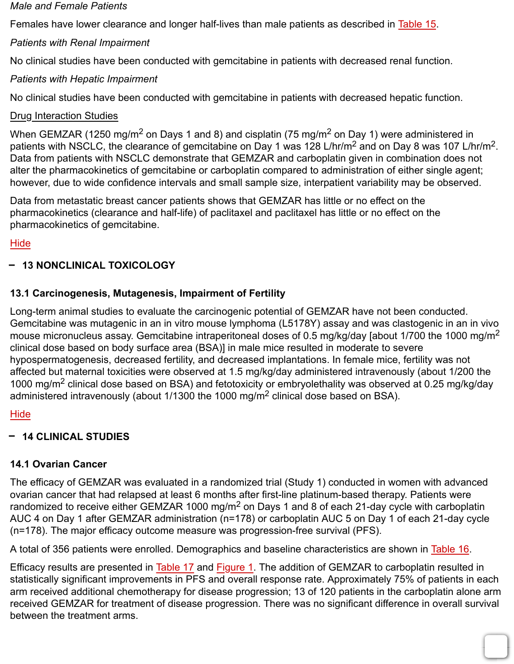#### *Male and Female Patients*

Females have lower clearance and longer half-lives than male patients as described in Table 15.

### *Patients with Renal Impairment*

No clinical studies have been conducted with gemcitabine in patients with decreased renal function.

### *Patients with Hepatic Impairment*

No clinical studies have been conducted with gemcitabine in patients with decreased hepatic function.

#### Drug Interaction Studies

When GEMZAR (1250 mg/m<sup>2</sup> on Days 1 and 8) and cisplatin (75 mg/m<sup>2</sup> on Day 1) were administered in patients with NSCLC, the clearance of gemcitabine on Day 1 was 128 L/hr/m<sup>2</sup> and on Day 8 was 107 L/hr/m<sup>2</sup>. Data from patients with NSCLC demonstrate that GEMZAR and carboplatin given in combination does not alter the pharmacokinetics of gemcitabine or carboplatin compared to administration of either single agent; however, due to wide confidence intervals and small sample size, interpatient variability may be observed.

Data from metastatic breast cancer patients shows that GEMZAR has little or no effect on the pharmacokinetics (clearance and half-life) of paclitaxel and paclitaxel has little or no effect on the pharmacokinetics of gemcitabine.

### Hide

## **- 13 NONCLINICAL TOXICOLOGY**

### **13.1 Carcinogenesis, Mutagenesis, Impairment of Fertility**

Long-term animal studies to evaluate the carcinogenic potential of GEMZAR have not been conducted. Gemcitabine was mutagenic in an in vitro mouse lymphoma (L5178Y) assay and was clastogenic in an in vivo mouse micronucleus assay. Gemcitabine intraperitoneal doses of 0.5 mg/kg/day [about 1/700 the 1000 mg/m<sup>2</sup> clinical dose based on body surface area (BSA)] in male mice resulted in moderate to severe hypospermatogenesis, decreased fertility, and decreased implantations. In female mice, fertility was not affected but maternal toxicities were observed at 1.5 mg/kg/day administered intravenously (about 1/200 the 1000 mg/m<sup>2</sup> clinical dose based on BSA) and fetotoxicity or embryolethality was observed at 0.25 mg/kg/day administered intravenously (about 1/1300 the 1000 mg/m<sup>2</sup> clinical dose based on BSA).

### **Hide**

## **- 14 CLINICAL STUDIES**

### **14.1 Ovarian Cancer**

The efficacy of GEMZAR was evaluated in a randomized trial (Study 1) conducted in women with advanced ovarian cancer that had relapsed at least 6 months after first-line platinum-based therapy. Patients were randomized to receive either GEMZAR 1000 mg/m<sup>2</sup> on Days 1 and 8 of each 21-day cycle with carboplatin AUC 4 on Day 1 after GEMZAR administration (n=178) or carboplatin AUC 5 on Day 1 of each 21-day cycle (n=178). The major efficacy outcome measure was progression-free survival (PFS).

A total of 356 patients were enrolled. Demographics and baseline characteristics are shown in Table 16.

Efficacy results are presented in Table 17 and Figure 1. The addition of GEMZAR to carboplatin resulted in statistically significant improvements in PFS and overall response rate. Approximately 75% of patients in each arm received additional chemotherapy for disease progression; 13 of 120 patients in the carboplatin alone arm received GEMZAR for treatment of disease progression. There was no significant difference in overall survival between the treatment arms.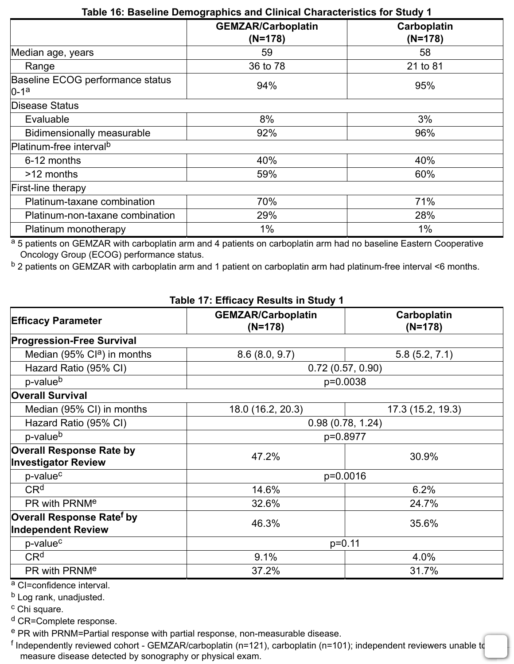| Table TV. Daseline Demographics and Omncar Onaracteristics for Study T |                                        |                          |  |  |  |  |
|------------------------------------------------------------------------|----------------------------------------|--------------------------|--|--|--|--|
|                                                                        | <b>GEMZAR/Carboplatin</b><br>$(N=178)$ | Carboplatin<br>$(N=178)$ |  |  |  |  |
| Median age, years                                                      | 59                                     | 58                       |  |  |  |  |
| Range                                                                  | 36 to 78                               | 21 to 81                 |  |  |  |  |
| Baseline ECOG performance status<br>$ 0-1^a$                           | 94%                                    | 95%                      |  |  |  |  |
| Disease Status                                                         |                                        |                          |  |  |  |  |
| Evaluable                                                              | 8%                                     | 3%                       |  |  |  |  |
| <b>Bidimensionally measurable</b>                                      | 92%                                    | 96%                      |  |  |  |  |
| Platinum-free interval <sup>b</sup>                                    |                                        |                          |  |  |  |  |
| 6-12 months                                                            | 40%                                    | 40%                      |  |  |  |  |
| >12 months                                                             | 59%                                    | 60%                      |  |  |  |  |
| First-line therapy                                                     |                                        |                          |  |  |  |  |
| Platinum-taxane combination                                            | 70%                                    | 71%                      |  |  |  |  |
| Platinum-non-taxane combination                                        | 29%                                    | 28%                      |  |  |  |  |
| Platinum monotherapy                                                   | 1%                                     | 1%                       |  |  |  |  |

**Table 16: Baseline Demographics and Clinical Characteristics for Study 1**

<sup>a</sup> 5 patients on GEMZAR with carboplatin arm and 4 patients on carboplatin arm had no baseline Eastern Cooperative Oncology Group (ECOG) performance status.

<sup>b</sup> 2 patients on GEMZAR with carboplatin arm and 1 patient on carboplatin arm had platinum-free interval <6 months.

| Table 17: Efficacy Results in Study 1                                    |                                        |                          |  |  |  |  |  |
|--------------------------------------------------------------------------|----------------------------------------|--------------------------|--|--|--|--|--|
| <b>Efficacy Parameter</b>                                                | <b>GEMZAR/Carboplatin</b><br>$(N=178)$ | Carboplatin<br>$(N=178)$ |  |  |  |  |  |
| <b>Progression-Free Survival</b>                                         |                                        |                          |  |  |  |  |  |
| Median (95% $Cla$ ) in months                                            | 8.6(8.0, 9.7)                          | 5.8(5.2, 7.1)            |  |  |  |  |  |
| Hazard Ratio (95% CI)                                                    | 0.72(0.57, 0.90)                       |                          |  |  |  |  |  |
| p-value <sup>b</sup>                                                     | p=0.0038                               |                          |  |  |  |  |  |
| <b>Overall Survival</b>                                                  |                                        |                          |  |  |  |  |  |
| Median (95% CI) in months                                                | 18.0 (16.2, 20.3)                      | 17.3 (15.2, 19.3)        |  |  |  |  |  |
| Hazard Ratio (95% CI)                                                    | 0.98(0.78, 1.24)                       |                          |  |  |  |  |  |
| p-value <sup>b</sup>                                                     | p=0.8977                               |                          |  |  |  |  |  |
| <b>Overall Response Rate by</b><br><b>Investigator Review</b>            | 47.2%                                  | 30.9%                    |  |  |  |  |  |
| p-value <sup>c</sup>                                                     | p=0.0016                               |                          |  |  |  |  |  |
| CR <sup>d</sup>                                                          | 14.6%                                  | 6.2%                     |  |  |  |  |  |
| PR with PRNM <sup>e</sup>                                                | 32.6%                                  | 24.7%                    |  |  |  |  |  |
| <b>Overall Response Rate<sup>f</sup> by</b><br><b>Independent Review</b> | 46.3%                                  | 35.6%                    |  |  |  |  |  |
| p-value <sup>c</sup>                                                     | $p=0.11$                               |                          |  |  |  |  |  |
| CR <sup>d</sup>                                                          | 9.1%                                   | 4.0%                     |  |  |  |  |  |
| PR with PRNM <sup>e</sup>                                                | 37.2%                                  | 31.7%                    |  |  |  |  |  |

<sup>a</sup> CI=confidence interval.

<sup>b</sup> Log rank, unadjusted.

<sup>c</sup> Chi square.

<sup>d</sup> CR=Complete response.

<sup>e</sup> PR with PRNM=Partial response with partial response, non-measurable disease.

<sup>f</sup> Independently reviewed cohort - GEMZAR/carboplatin (n=121), carboplatin (n=101); independent reviewers unable to measure disease detected by sonography or physical exam.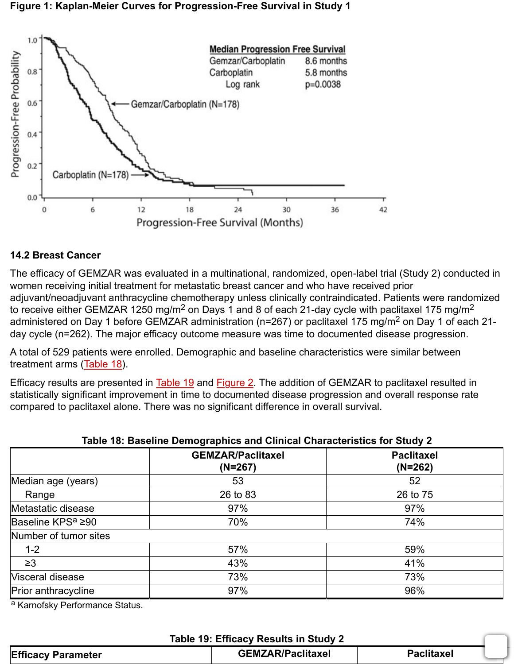#### **Figure 1: Kaplan-Meier Curves for Progression-Free Survival in Study 1**



#### **14.2 Breast Cancer**

The efficacy of GEMZAR was evaluated in a multinational, randomized, open-label trial (Study 2) conducted in women receiving initial treatment for metastatic breast cancer and who have received prior adjuvant/neoadjuvant anthracycline chemotherapy unless clinically contraindicated. Patients were randomized to receive either GEMZAR 1250 mg/m<sup>2</sup> on Days 1 and 8 of each 21-day cycle with paclitaxel 175 mg/m<sup>2</sup> administered on Day 1 before GEMZAR administration (n=267) or paclitaxel 175 mg/m<sup>2</sup> on Day 1 of each 21day cycle (n=262). The major efficacy outcome measure was time to documented disease progression.

A total of 529 patients were enrolled. Demographic and baseline characteristics were similar between treatment arms (Table 18).

Efficacy results are presented in Table 19 and Figure 2. The addition of GEMZAR to paclitaxel resulted in statistically significant improvement in time to documented disease progression and overall response rate compared to paclitaxel alone. There was no significant difference in overall survival.

| Table 18: Baseline Demographics and Clinical Characteristics for Study 2 |                                |          |  |  |  |
|--------------------------------------------------------------------------|--------------------------------|----------|--|--|--|
|                                                                          | <b>Paclitaxel</b><br>$(N=262)$ |          |  |  |  |
| Median age (years)                                                       | 53                             | 52       |  |  |  |
| Range                                                                    | 26 to 83                       | 26 to 75 |  |  |  |
| Metastatic disease                                                       | 97%                            | 97%      |  |  |  |
| Baseline KPS <sup>a</sup> $\geq$ 90                                      | 70%                            | 74%      |  |  |  |
| Number of tumor sites                                                    |                                |          |  |  |  |
| $1 - 2$                                                                  | 57%                            | 59%      |  |  |  |
| $\geq$ 3                                                                 | 43%                            | 41%      |  |  |  |
| Visceral disease                                                         | 73%                            | 73%      |  |  |  |
| Prior anthracycline                                                      | 97%                            | 96%      |  |  |  |

<sup>a</sup> Karnofsky Performance Status.

| Table 19: Efficacy Results in Study 2 |                          |                   |  |
|---------------------------------------|--------------------------|-------------------|--|
| <b>Efficacy Parameter</b>             | <b>GEMZAR/Paclitaxel</b> | <b>Paclitaxel</b> |  |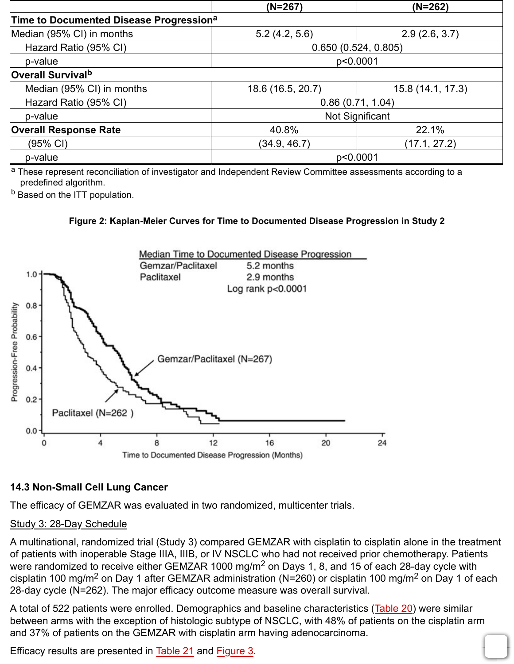|                                                     | $(N=267)$           | $(N=262)$         |  |
|-----------------------------------------------------|---------------------|-------------------|--|
| Time to Documented Disease Progression <sup>a</sup> |                     |                   |  |
| Median (95% CI) in months                           | 5.2(4.2, 5.6)       | 2.9(2.6, 3.7)     |  |
| Hazard Ratio (95% CI)                               | 0.650(0.524, 0.805) |                   |  |
| p-value                                             | p<0.0001            |                   |  |
| <b>Overall Survival<sup>b</sup></b>                 |                     |                   |  |
| Median (95% CI) in months                           | 18.6 (16.5, 20.7)   | 15.8 (14.1, 17.3) |  |
| Hazard Ratio (95% CI)                               | 0.86(0.71, 1.04)    |                   |  |
| p-value                                             | Not Significant     |                   |  |
| <b>Overall Response Rate</b>                        | 40.8%               | 22.1%             |  |
| (95% CI)                                            | (34.9, 46.7)        | (17.1, 27.2)      |  |
| p-value                                             | p<0.0001            |                   |  |

<sup>a</sup> These represent reconciliation of investigator and Independent Review Committee assessments according to a predefined algorithm.

**b** Based on the ITT population.

#### **Figure 2: Kaplan-Meier Curves for Time to Documented Disease Progression in Study 2**



### **14.3 Non-Small Cell Lung Cancer**

The efficacy of GEMZAR was evaluated in two randomized, multicenter trials.

#### Study 3: 28-Day Schedule

A multinational, randomized trial (Study 3) compared GEMZAR with cisplatin to cisplatin alone in the treatment of patients with inoperable Stage IIIA, IIIB, or IV NSCLC who had not received prior chemotherapy. Patients were randomized to receive either GEMZAR 1000 mg/m<sup>2</sup> on Days 1, 8, and 15 of each 28-day cycle with cisplatin 100 mg/m<sup>2</sup> on Day 1 after GEMZAR administration (N=260) or cisplatin 100 mg/m<sup>2</sup> on Day 1 of each 28-day cycle (N=262). The major efficacy outcome measure was overall survival.

A total of 522 patients were enrolled. Demographics and baseline characteristics (Table 20) were similar between arms with the exception of histologic subtype of NSCLC, with 48% of patients on the cisplatin arm and 37% of patients on the GEMZAR with cisplatin arm having adenocarcinoma.

Efficacy results are presented in Table 21 and Figure 3.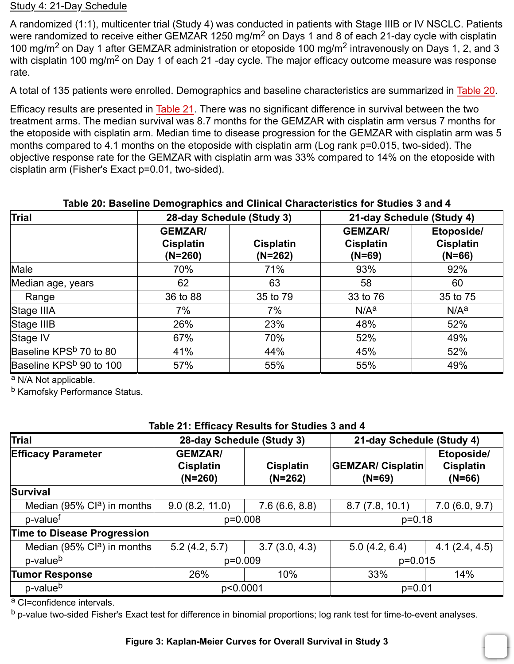#### Study 4: 21-Day Schedule

A randomized (1:1), multicenter trial (Study 4) was conducted in patients with Stage IIIB or IV NSCLC. Patients were randomized to receive either GEMZAR 1250 mg/m<sup>2</sup> on Days 1 and 8 of each 21-day cycle with cisplatin 100 mg/m<sup>2</sup> on Day 1 after GEMZAR administration or etoposide 100 mg/m<sup>2</sup> intravenously on Days 1, 2, and 3 with cisplatin 100 mg/m<sup>2</sup> on Day 1 of each 21 -day cycle. The major efficacy outcome measure was response rate.

A total of 135 patients were enrolled. Demographics and baseline characteristics are summarized in Table 20.

Efficacy results are presented in Table 21. There was no significant difference in survival between the two treatment arms. The median survival was 8.7 months for the GEMZAR with cisplatin arm versus 7 months for the etoposide with cisplatin arm. Median time to disease progression for the GEMZAR with cisplatin arm was 5 months compared to 4.1 months on the etoposide with cisplatin arm (Log rank p=0.015, two-sided). The objective response rate for the GEMZAR with cisplatin arm was 33% compared to 14% on the etoposide with cisplatin arm (Fisher's Exact p=0.01, two-sided).

| Trial                               | 28-day Schedule (Study 3)                       |                               | 21-day Schedule (Study 4)                      |                                            |
|-------------------------------------|-------------------------------------------------|-------------------------------|------------------------------------------------|--------------------------------------------|
|                                     | <b>GEMZAR/</b><br><b>Cisplatin</b><br>$(N=260)$ | <b>Cisplatin</b><br>$(N=262)$ | <b>GEMZAR/</b><br><b>Cisplatin</b><br>$(N=69)$ | Etoposide/<br><b>Cisplatin</b><br>$(N=66)$ |
| Male                                | 70%                                             | 71%                           | 93%                                            | 92%                                        |
| Median age, years                   | 62                                              | 63                            | 58                                             | 60                                         |
| Range                               | 36 to 88                                        | 35 to 79                      | 33 to 76                                       | 35 to 75                                   |
| Stage IIIA                          | 7%                                              | 7%                            | N/A <sup>a</sup>                               | N/A <sup>a</sup>                           |
| Stage IIIB                          | 26%                                             | 23%                           | 48%                                            | 52%                                        |
| Stage IV                            | 67%                                             | 70%                           | 52%                                            | 49%                                        |
| Baseline KPS <sup>b</sup> 70 to 80  | 41%                                             | 44%                           | 45%                                            | 52%                                        |
| Baseline KPS <sup>b</sup> 90 to 100 | 57%                                             | 55%                           | 55%                                            | 49%                                        |

#### **Table 20: Baseline Demographics and Clinical Characteristics for Studies 3 and 4**

<sup>a</sup> N/A Not applicable.

<sup>b</sup> Karnofsky Performance Status.

|  | Table 21: Efficacy Results for Studies 3 and 4 |
|--|------------------------------------------------|
|--|------------------------------------------------|

| Trial                                   | 28-day Schedule (Study 3)                       |                               | 21-day Schedule (Study 4)            |                                            |
|-----------------------------------------|-------------------------------------------------|-------------------------------|--------------------------------------|--------------------------------------------|
| <b>Efficacy Parameter</b>               | <b>GEMZAR/</b><br><b>Cisplatin</b><br>$(N=260)$ | <b>Cisplatin</b><br>$(N=262)$ | <b>GEMZAR/ Cisplatin</b><br>$(N=69)$ | Etoposide/<br><b>Cisplatin</b><br>$(N=66)$ |
| <b>Survival</b>                         |                                                 |                               |                                      |                                            |
| Median (95% Cl <sup>a</sup> ) in months | 9.0(8.2, 11.0)                                  | 7.6(6.6, 8.8)                 | 8.7(7.8, 10.1)                       | 7.0(6.0, 9.7)                              |
| p-value <sup>f</sup>                    | $p=0.008$                                       |                               | $p=0.18$                             |                                            |
| <b>Time to Disease Progression</b>      |                                                 |                               |                                      |                                            |
| Median (95% Cl <sup>a</sup> ) in months | 5.2(4.2, 5.7)                                   | 3.7(3.0, 4.3)                 | 5.0(4.2, 6.4)                        | 4.1(2.4, 4.5)                              |
| p-value <sup>b</sup>                    | $p=0.009$                                       |                               | $p=0.015$                            |                                            |
| <b>Tumor Response</b>                   | 26%                                             | 10%                           | 33%                                  | 14%                                        |
| p-value <sup>b</sup>                    | p<0.0001                                        |                               | $p=0.01$                             |                                            |

<sup>a</sup> Cl=confidence intervals.

<sup>b</sup> p-value two-sided Fisher's Exact test for difference in binomial proportions; log rank test for time-to-event analyses.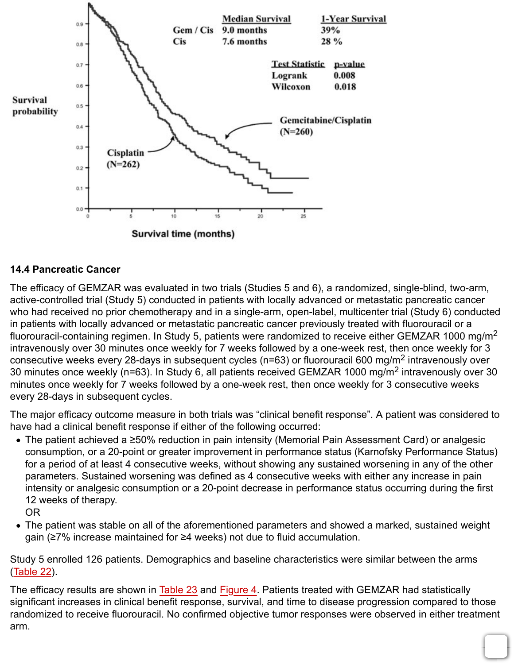

#### **14.4 Pancreatic Cancer**

The efficacy of GEMZAR was evaluated in two trials (Studies 5 and 6), a randomized, single-blind, two-arm, active-controlled trial (Study 5) conducted in patients with locally advanced or metastatic pancreatic cancer who had received no prior chemotherapy and in a single-arm, open-label, multicenter trial (Study 6) conducted in patients with locally advanced or metastatic pancreatic cancer previously treated with fluorouracil or a fluorouracil-containing regimen. In Study 5, patients were randomized to receive either GEMZAR 1000 mg/m<sup>2</sup> intravenously over 30 minutes once weekly for 7 weeks followed by a one-week rest, then once weekly for 3 consecutive weeks every 28-days in subsequent cycles (n=63) or fluorouracil 600 mg/m<sup>2</sup> intravenously over 30 minutes once weekly (n=63). In Study 6, all patients received GEMZAR 1000 mg/m<sup>2</sup> intravenously over 30 minutes once weekly for 7 weeks followed by a one-week rest, then once weekly for 3 consecutive weeks every 28-days in subsequent cycles.

The major efficacy outcome measure in both trials was "clinical benefit response". A patient was considered to have had a clinical benefit response if either of the following occurred:

- The patient achieved a ≥50% reduction in pain intensity (Memorial Pain Assessment Card) or analgesic consumption, or a 20-point or greater improvement in performance status (Karnofsky Performance Status) for a period of at least 4 consecutive weeks, without showing any sustained worsening in any of the other parameters. Sustained worsening was defined as 4 consecutive weeks with either any increase in pain intensity or analgesic consumption or a 20-point decrease in performance status occurring during the first 12 weeks of therapy.
- OR
- The patient was stable on all of the aforementioned parameters and showed a marked, sustained weight gain (≥7% increase maintained for ≥4 weeks) not due to fluid accumulation.

Study 5 enrolled 126 patients. Demographics and baseline characteristics were similar between the arms (Table 22).

The efficacy results are shown in Table 23 and Figure 4. Patients treated with GEMZAR had statistically significant increases in clinical benefit response, survival, and time to disease progression compared to those randomized to receive fluorouracil. No confirmed objective tumor responses were observed in either treatment arm.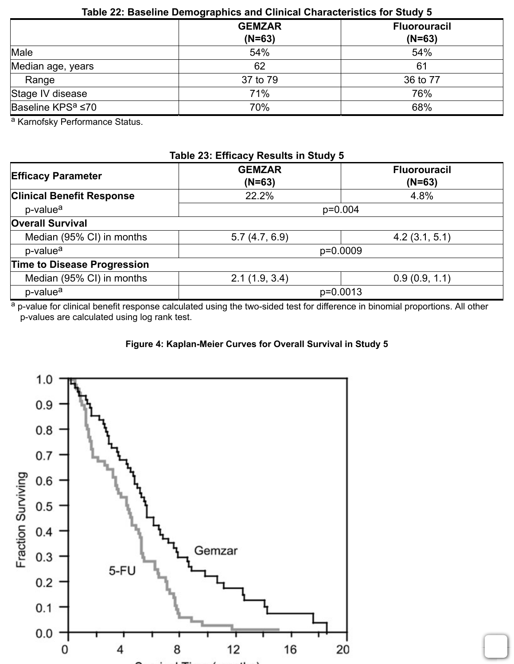| Table 22. Daschille Definegraphics and Offinical Onaracteristics for Otauf o |                           |                                 |  |
|------------------------------------------------------------------------------|---------------------------|---------------------------------|--|
|                                                                              | <b>GEMZAR</b><br>$(N=63)$ | <b>Fluorouracil</b><br>$(N=63)$ |  |
| Male                                                                         | 54%                       | 54%                             |  |
| Median age, years                                                            | 62                        | 61                              |  |
| Range                                                                        | 37 to 79                  | 36 to 77                        |  |
| Stage IV disease                                                             | 71%                       | 76%                             |  |
| Baseline KPS <sup>a</sup> $\leq 70$                                          | 70%                       | 68%                             |  |
|                                                                              |                           |                                 |  |

### **Table 22: Baseline Demographics and Clinical Characteristics for Study 5**

<sup>a</sup> Karnofsky Performance Status.

| Table 23: Efficacy Results in Study 5 |                           |                                 |  |
|---------------------------------------|---------------------------|---------------------------------|--|
| <b>Efficacy Parameter</b>             | <b>GEMZAR</b><br>$(N=63)$ | <b>Fluorouracil</b><br>$(N=63)$ |  |
| <b>Clinical Benefit Response</b>      | 22.2%                     | 4.8%                            |  |
| p-value <sup>a</sup>                  | $p=0.004$                 |                                 |  |
| <b>Overall Survival</b>               |                           |                                 |  |
| Median (95% CI) in months             | 5.7(4.7, 6.9)             | 4.2(3.1, 5.1)                   |  |
| p-value <sup>a</sup>                  | p=0.0009                  |                                 |  |
| <b>Time to Disease Progression</b>    |                           |                                 |  |
| Median (95% CI) in months             | 2.1(1.9, 3.4)             | 0.9(0.9, 1.1)                   |  |
| p-value <sup>a</sup>                  | p=0.0013                  |                                 |  |

<sup>a</sup> p-value for clinical benefit response calculated using the two-sided test for difference in binomial proportions. All other p-values are calculated using log rank test.

## **Figure 4: Kaplan-Meier Curves for Overall Survival in Study 5**

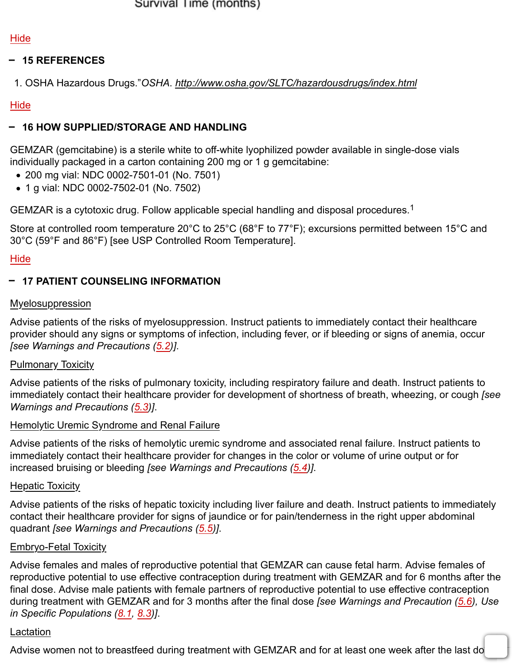Survival Time (months)

## Hide

# **- 15 REFERENCES**

1. OSHA Hazardous Drugs."*OSHA*. *http://www.osha.gov/SLTC/hazardousdrugs/index.html*

# **Hide**

# **- 16 HOW SUPPLIED/STORAGE AND HANDLING**

GEMZAR (gemcitabine) is a sterile white to off-white lyophilized powder available in single-dose vials individually packaged in a carton containing 200 mg or 1 g gemcitabine:

- 200 mg vial: NDC 0002-7501-01 (No. 7501)
- 1 g vial: NDC 0002-7502-01 (No. 7502)

GEMZAR is a cytotoxic drug. Follow applicable special handling and disposal procedures.<sup>1</sup>

Store at controlled room temperature 20°C to 25°C (68°F to 77°F); excursions permitted between 15°C and 30°C (59°F and 86°F) [see USP Controlled Room Temperature].

### **Hide**

## **- 17 PATIENT COUNSELING INFORMATION**

#### **Myelosuppression**

Advise patients of the risks of myelosuppression. Instruct patients to immediately contact their healthcare provider should any signs or symptoms of infection, including fever, or if bleeding or signs of anemia, occur *[see Warnings and Precautions (5.2)]*.

### Pulmonary Toxicity

Advise patients of the risks of pulmonary toxicity, including respiratory failure and death. Instruct patients to immediately contact their healthcare provider for development of shortness of breath, wheezing, or cough *[see Warnings and Precautions (5.3)]*.

#### Hemolytic Uremic Syndrome and Renal Failure

Advise patients of the risks of hemolytic uremic syndrome and associated renal failure. Instruct patients to immediately contact their healthcare provider for changes in the color or volume of urine output or for increased bruising or bleeding *[see Warnings and Precautions (5.4)]*.

### Hepatic Toxicity

Advise patients of the risks of hepatic toxicity including liver failure and death. Instruct patients to immediately contact their healthcare provider for signs of jaundice or for pain/tenderness in the right upper abdominal quadrant *[see Warnings and Precautions (5.5)]*.

### Embryo-Fetal Toxicity

Advise females and males of reproductive potential that GEMZAR can cause fetal harm. Advise females of reproductive potential to use effective contraception during treatment with GEMZAR and for 6 months after the final dose. Advise male patients with female partners of reproductive potential to use effective contraception during treatment with GEMZAR and for 3 months after the final dose *[see Warnings and Precaution (5.6), Use in Specific Populations (8.1, 8.3)]*.

### Lactation

Advise women not to breastfeed during treatment with GEMZAR and for at least one week after the last do